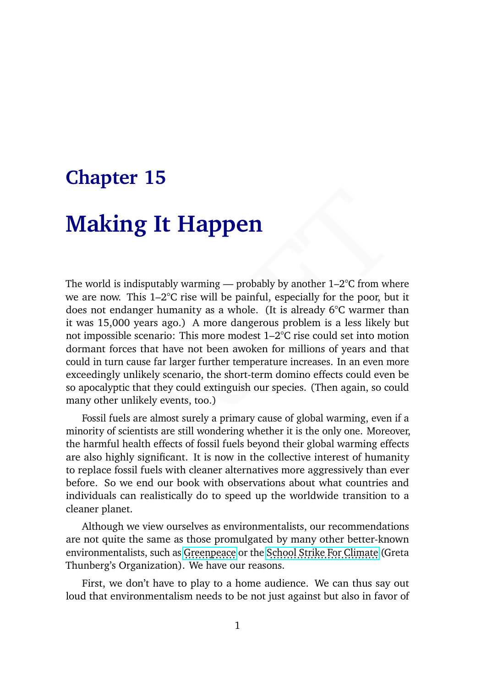## **Chapter 15**

# **Making It Happen**

Fraction Solution Intervals and the control of the specially that contrises and the viduals can reading the specially for the poor, but it are not endanger humanity as a whole. (It is already 6°C warmer than as 15,000 yea The world is indisputably warming — probably by another  $1-2^{\circ}C$  from where we are now. This 1–2°C rise will be painful, especially for the poor, but it does not endanger humanity as a whole. (It is already 6°C warmer than it was 15,000 years ago.) A more dangerous problem is a less likely but not impossible scenario: This more modest 1–2°C rise could set into motion dormant forces that have not been awoken for millions of years and that could in turn cause far larger further temperature increases. In an even more exceedingly unlikely scenario, the short-term domino effects could even be so apocalyptic that they could extinguish our species. (Then again, so could many other unlikely events, too.)

Fossil fuels are almost surely a primary cause of global warming, even if a minority of scientists are still wondering whether it is the only one. Moreover, the harmful health effects of fossil fuels beyond their global warming effects are also highly significant. It is now in the collective interest of humanity to replace fossil fuels with cleaner alternatives more aggressively than ever before. So we end our book with observations about what countries and individuals can realistically do to speed up the worldwide transition to a cleaner planet.

Although we view ourselves as environmentalists, our recommendations are not quite the same as those promulgated by many other better-known environmentalists, such as [Greenpeace](https://en.wikipedia.org/wiki/Greenpeace) or the [School Strike For Climate](https://en.wikipedia.org/wiki/School_Strike_for_Climate) (Greta Thunberg's Organization). We have our reasons.

First, we don't have to play to a home audience. We can thus say out loud that environmentalism needs to be not just against but also in favor of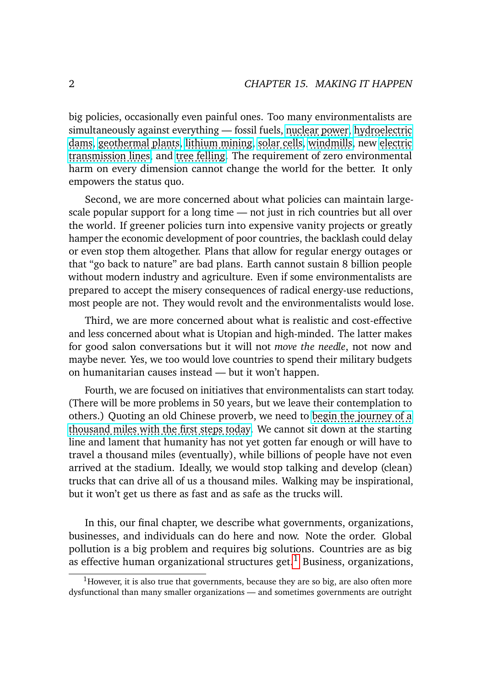big policies, occasionally even painful ones. Too many environmentalists are simultaneously against everything — fossil fuels, [nuclear power,](https://www.nytimes.com/2018/04/18/climate/climate-fwd-green-nuclear.html) [hydroelectric](https://www.nytimes.com/2020/10/13/climate/environmentalists-hydropower-dams.html) [dams,](https://www.nytimes.com/2020/10/13/climate/environmentalists-hydropower-dams.html) [geothermal plants,](https://www.usnews.com/news/best-states/nevada/articles/2021-12-31/lawsuit-seeks-to-block-2-geothermal-power-plants-in-nevada) [lithium mining,](https://www.reuters.com/business/environment/exclusive-lithium-americas-delays-nevada-mine-work-after-environmentalist-2021-06-11/) [solar cells,](https://finance-commerce.com/2021/11/solar-farms-face-local-resistance/) [windmills,](https://www.cleanenergywire.org/news/media-environmentalists-oppose-environmentalists-wind-power) new [electric](https://www.wsj.com/articles/maine-voters-reject-950-million-power-line-for-hydro-imports-11635944404) [transmission lines,](https://www.wsj.com/articles/maine-voters-reject-950-million-power-line-for-hydro-imports-11635944404) and [tree felling.](https://en.wikipedia.org/wiki/Tree_sitting) The requirement of zero environmental harm on every dimension cannot change the world for the better. It only empowers the status quo.

Second, we are more concerned about what policies can maintain largescale popular support for a long time — not just in rich countries but all over the world. If greener policies turn into expensive vanity projects or greatly hamper the economic development of poor countries, the backlash could delay or even stop them altogether. Plans that allow for regular energy outages or that "go back to nature" are bad plans. Earth cannot sustain 8 billion people without modern industry and agriculture. Even if some environmentalists are prepared to accept the misery consequences of radical energy-use reductions, most people are not. They would revolt and the environmentalists would lose.

Third, we are more concerned about what is realistic and cost-effective and less concerned about what is Utopian and high-minded. The latter makes for good salon conversations but it will not *move the needle*, not now and maybe never. Yes, we too would love countries to spend their military budgets on humanitarian causes instead — but it won't happen.

Fourth, we are focused on initiatives that environmentalists can start today. (There will be more problems in 50 years, but we leave their contemplation to others.) Quoting an old Chinese proverb, we need to [begin the journey of a](https://en.wikipedia.org/wiki/A_journey_of_a_thousand_miles_begins_with_a_single_step) [thousand miles with the first steps today.](https://en.wikipedia.org/wiki/A_journey_of_a_thousand_miles_begins_with_a_single_step) We cannot sit down at the starting line and lament that humanity has not yet gotten far enough or will have to travel a thousand miles (eventually), while billions of people have not even arrived at the stadium. Ideally, we would stop talking and develop (clean) trucks that can drive all of us a thousand miles. Walking may be inspirational, but it won't get us there as fast and as safe as the trucks will.

In this, our final chapter, we describe what governments, organizations, businesses, and individuals can do here and now. Note the order. Global pollution is a big problem and requires big solutions. Countries are as big as effective human organizational structures get. $<sup>1</sup>$  $<sup>1</sup>$  $<sup>1</sup>$  Business, organizations,</sup>

 $1$ However, it is also true that governments, because they are so big, are also often more dysfunctional than many smaller organizations — and sometimes governments are outright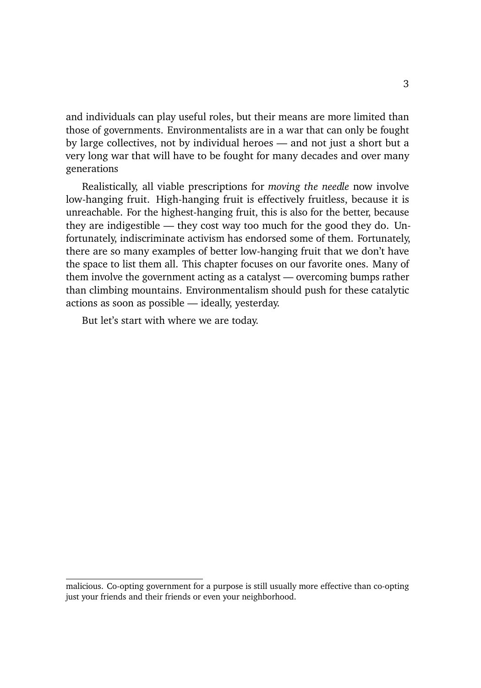and individuals can play useful roles, but their means are more limited than those of governments. Environmentalists are in a war that can only be fought by large collectives, not by individual heroes — and not just a short but a very long war that will have to be fought for many decades and over many generations

Realistically, all viable prescriptions for *moving the needle* now involve low-hanging fruit. High-hanging fruit is effectively fruitless, because it is unreachable. For the highest-hanging fruit, this is also for the better, because they are indigestible — they cost way too much for the good they do. Unfortunately, indiscriminate activism has endorsed some of them. Fortunately, there are so many examples of better low-hanging fruit that we don't have the space to list them all. This chapter focuses on our favorite ones. Many of them involve the government acting as a catalyst — overcoming bumps rather than climbing mountains. Environmentalism should push for these catalytic actions as soon as possible — ideally, yesterday.

But let's start with where we are today.

malicious. Co-opting government for a purpose is still usually more effective than co-opting just your friends and their friends or even your neighborhood.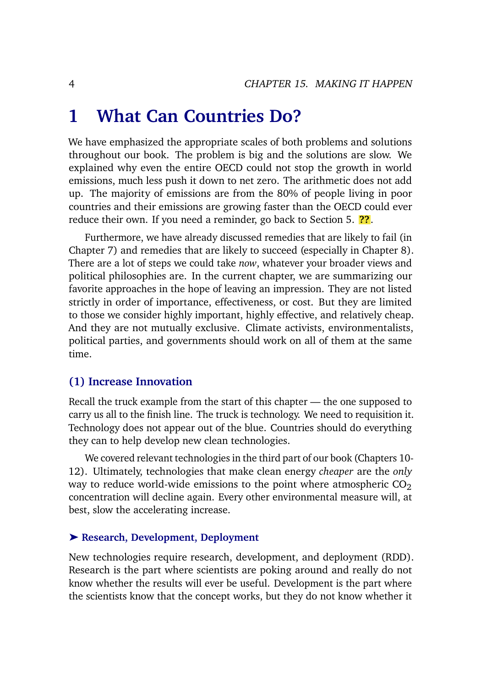## **1 What Can Countries Do?**

We have emphasized the appropriate scales of both problems and solutions throughout our book. The problem is big and the solutions are slow. We explained why even the entire OECD could not stop the growth in world emissions, much less push it down to net zero. The arithmetic does not add up. The majority of emissions are from the 80% of people living in poor countries and their emissions are growing faster than the OECD could ever reduce their own. If you need a reminder, go back to Section 5. **??**.

Furthermore, we have already discussed remedies that are likely to fail (in Chapter 7) and remedies that are likely to succeed (especially in Chapter 8). There are a lot of steps we could take *now*, whatever your broader views and political philosophies are. In the current chapter, we are summarizing our favorite approaches in the hope of leaving an impression. They are not listed strictly in order of importance, effectiveness, or cost. But they are limited to those we consider highly important, highly effective, and relatively cheap. And they are not mutually exclusive. Climate activists, environmentalists, political parties, and governments should work on all of them at the same time.

#### **(1) Increase Innovation**

Recall the truck example from the start of this chapter — the one supposed to carry us all to the finish line. The truck is technology. We need to requisition it. Technology does not appear out of the blue. Countries should do everything they can to help develop new clean technologies.

We covered relevant technologies in the third part of our book (Chapters 10- 12). Ultimately, technologies that make clean energy *cheaper* are the *only* way to reduce world-wide emissions to the point where atmospheric  $CO<sub>2</sub>$ concentration will decline again. Every other environmental measure will, at best, slow the accelerating increase.

#### ➤ **Research, Development, Deployment**

New technologies require research, development, and deployment (RDD). Research is the part where scientists are poking around and really do not know whether the results will ever be useful. Development is the part where the scientists know that the concept works, but they do not know whether it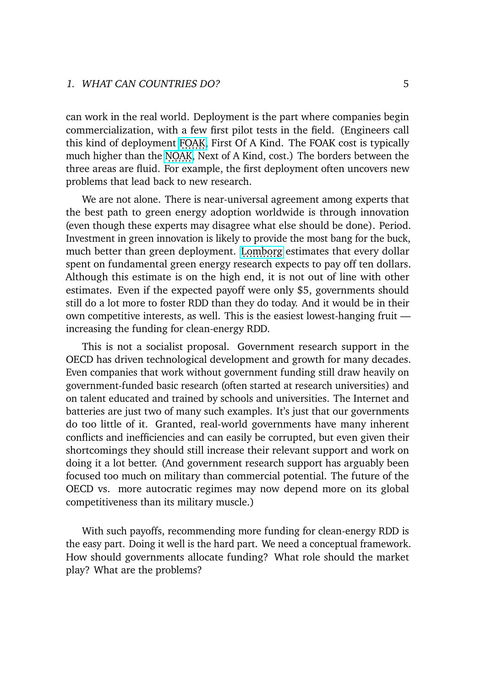can work in the real world. Deployment is the part where companies begin commercialization, with a few first pilot tests in the field. (Engineers call this kind of deployment [FOAK,](https://en.wikipedia.org/wiki/FOAK) First Of A Kind. The FOAK cost is typically much higher than the [NOAK,](https://en.wikipedia.org/wiki/NOAK) Next of A Kind, cost.) The borders between the three areas are fluid. For example, the first deployment often uncovers new problems that lead back to new research.

We are not alone. There is near-universal agreement among experts that the best path to green energy adoption worldwide is through innovation (even though these experts may disagree what else should be done). Period. Investment in green innovation is likely to provide the most bang for the buck, much better than green deployment. [Lomborg](https://www.amazon.com/dp/B0828MF8S4) estimates that every dollar spent on fundamental green energy research expects to pay off ten dollars. Although this estimate is on the high end, it is not out of line with other estimates. Even if the expected payoff were only \$5, governments should still do a lot more to foster RDD than they do today. And it would be in their own competitive interests, as well. This is the easiest lowest-hanging fruit increasing the funding for clean-energy RDD.

This is not a socialist proposal. Government research support in the OECD has driven technological development and growth for many decades. Even companies that work without government funding still draw heavily on government-funded basic research (often started at research universities) and on talent educated and trained by schools and universities. The Internet and batteries are just two of many such examples. It's just that our governments do too little of it. Granted, real-world governments have many inherent conflicts and inefficiencies and can easily be corrupted, but even given their shortcomings they should still increase their relevant support and work on doing it a lot better. (And government research support has arguably been focused too much on military than commercial potential. The future of the OECD vs. more autocratic regimes may now depend more on its global competitiveness than its military muscle.)

With such payoffs, recommending more funding for clean-energy RDD is the easy part. Doing it well is the hard part. We need a conceptual framework. How should governments allocate funding? What role should the market play? What are the problems?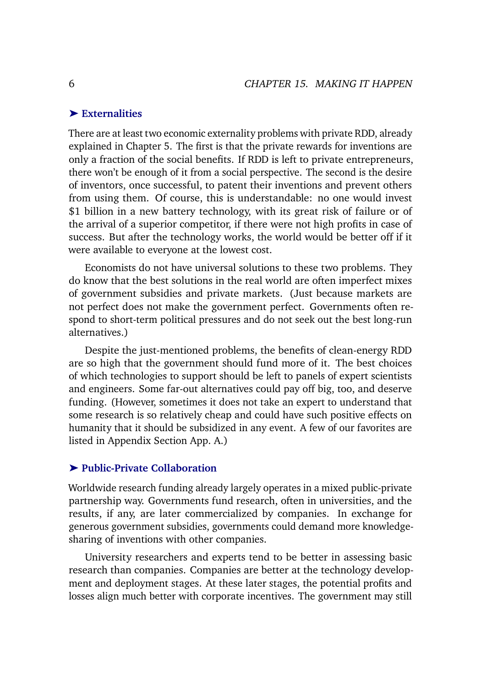#### ➤ **Externalities**

There are at least two economic externality problems with private RDD, already explained in Chapter 5. The first is that the private rewards for inventions are only a fraction of the social benefits. If RDD is left to private entrepreneurs, there won't be enough of it from a social perspective. The second is the desire of inventors, once successful, to patent their inventions and prevent others from using them. Of course, this is understandable: no one would invest \$1 billion in a new battery technology, with its great risk of failure or of the arrival of a superior competitor, if there were not high profits in case of success. But after the technology works, the world would be better off if it were available to everyone at the lowest cost.

Economists do not have universal solutions to these two problems. They do know that the best solutions in the real world are often imperfect mixes of government subsidies and private markets. (Just because markets are not perfect does not make the government perfect. Governments often respond to short-term political pressures and do not seek out the best long-run alternatives.)

Despite the just-mentioned problems, the benefits of clean-energy RDD are so high that the government should fund more of it. The best choices of which technologies to support should be left to panels of expert scientists and engineers. Some far-out alternatives could pay off big, too, and deserve funding. (However, sometimes it does not take an expert to understand that some research is so relatively cheap and could have such positive effects on humanity that it should be subsidized in any event. A few of our favorites are listed in Appendix Section App. A.)

#### ➤ **Public-Private Collaboration**

Worldwide research funding already largely operates in a mixed public-private partnership way. Governments fund research, often in universities, and the results, if any, are later commercialized by companies. In exchange for generous government subsidies, governments could demand more knowledgesharing of inventions with other companies.

University researchers and experts tend to be better in assessing basic research than companies. Companies are better at the technology development and deployment stages. At these later stages, the potential profits and losses align much better with corporate incentives. The government may still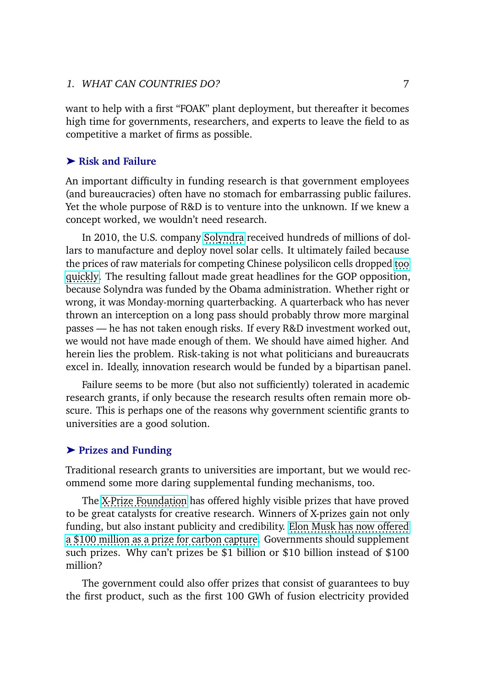want to help with a first "FOAK" plant deployment, but thereafter it becomes high time for governments, researchers, and experts to leave the field to as competitive a market of firms as possible.

#### ➤ **Risk and Failure**

An important difficulty in funding research is that government employees (and bureaucracies) often have no stomach for embarrassing public failures. Yet the whole purpose of R&D is to venture into the unknown. If we knew a concept worked, we wouldn't need research.

In 2010, the U.S. company [Solyndra](https://en.wikipedia.org/wiki/Solyndra) received hundreds of millions of dollars to manufacture and deploy novel solar cells. It ultimately failed because the prices of raw materials for competing Chinese polysilicon cells dropped [too](https://www.bernreuter.com/polysilicon/price-trend/) [quickly.](https://www.bernreuter.com/polysilicon/price-trend/) The resulting fallout made great headlines for the GOP opposition, because Solyndra was funded by the Obama administration. Whether right or wrong, it was Monday-morning quarterbacking. A quarterback who has never thrown an interception on a long pass should probably throw more marginal passes — he has not taken enough risks. If every R&D investment worked out, we would not have made enough of them. We should have aimed higher. And herein lies the problem. Risk-taking is not what politicians and bureaucrats excel in. Ideally, innovation research would be funded by a bipartisan panel.

Failure seems to be more (but also not sufficiently) tolerated in academic research grants, if only because the research results often remain more obscure. This is perhaps one of the reasons why government scientific grants to universities are a good solution.

#### ➤ **Prizes and Funding**

Traditional research grants to universities are important, but we would recommend some more daring supplemental funding mechanisms, too.

The [X-Prize Foundation](https://www.xprize.org/) has offered highly visible prizes that have proved to be great catalysts for creative research. Winners of X-prizes gain not only funding, but also instant publicity and credibility. [Elon Musk has now offered](https://www.xprize.org/prizes/elonmusk) [a \\$100 million as a prize for carbon capture.](https://www.xprize.org/prizes/elonmusk) Governments should supplement such prizes. Why can't prizes be \$1 billion or \$10 billion instead of \$100 million?

The government could also offer prizes that consist of guarantees to buy the first product, such as the first 100 GWh of fusion electricity provided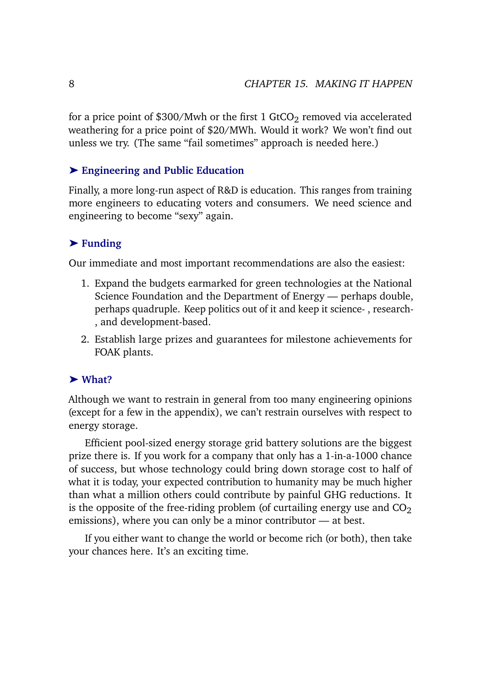for a price point of \$300/Mwh or the first 1 GtCO<sub>2</sub> removed via accelerated weathering for a price point of \$20/MWh. Would it work? We won't find out unless we try. (The same "fail sometimes" approach is needed here.)

#### ➤ **Engineering and Public Education**

Finally, a more long-run aspect of R&D is education. This ranges from training more engineers to educating voters and consumers. We need science and engineering to become "sexy" again.

### ➤ **Funding**

Our immediate and most important recommendations are also the easiest:

- 1. Expand the budgets earmarked for green technologies at the National Science Foundation and the Department of Energy — perhaps double, perhaps quadruple. Keep politics out of it and keep it science- , research- , and development-based.
- 2. Establish large prizes and guarantees for milestone achievements for FOAK plants.

#### ➤ **What?**

Although we want to restrain in general from too many engineering opinions (except for a few in the appendix), we can't restrain ourselves with respect to energy storage.

Efficient pool-sized energy storage grid battery solutions are the biggest prize there is. If you work for a company that only has a 1-in-a-1000 chance of success, but whose technology could bring down storage cost to half of what it is today, your expected contribution to humanity may be much higher than what a million others could contribute by painful GHG reductions. It is the opposite of the free-riding problem (of curtailing energy use and  $CO<sub>2</sub>$ emissions), where you can only be a minor contributor — at best.

If you either want to change the world or become rich (or both), then take your chances here. It's an exciting time.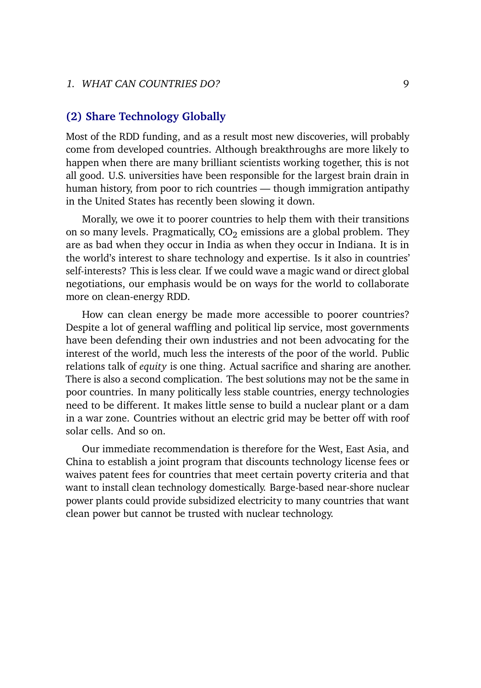## **(2) Share Technology Globally**

Most of the RDD funding, and as a result most new discoveries, will probably come from developed countries. Although breakthroughs are more likely to happen when there are many brilliant scientists working together, this is not all good. U.S. universities have been responsible for the largest brain drain in human history, from poor to rich countries — though immigration antipathy in the United States has recently been slowing it down.

Morally, we owe it to poorer countries to help them with their transitions on so many levels. Pragmatically,  $CO<sub>2</sub>$  emissions are a global problem. They are as bad when they occur in India as when they occur in Indiana. It is in the world's interest to share technology and expertise. Is it also in countries' self-interests? This is less clear. If we could wave a magic wand or direct global negotiations, our emphasis would be on ways for the world to collaborate more on clean-energy RDD.

How can clean energy be made more accessible to poorer countries? Despite a lot of general waffling and political lip service, most governments have been defending their own industries and not been advocating for the interest of the world, much less the interests of the poor of the world. Public relations talk of *equity* is one thing. Actual sacrifice and sharing are another. There is also a second complication. The best solutions may not be the same in poor countries. In many politically less stable countries, energy technologies need to be different. It makes little sense to build a nuclear plant or a dam in a war zone. Countries without an electric grid may be better off with roof solar cells. And so on.

Our immediate recommendation is therefore for the West, East Asia, and China to establish a joint program that discounts technology license fees or waives patent fees for countries that meet certain poverty criteria and that want to install clean technology domestically. Barge-based near-shore nuclear power plants could provide subsidized electricity to many countries that want clean power but cannot be trusted with nuclear technology.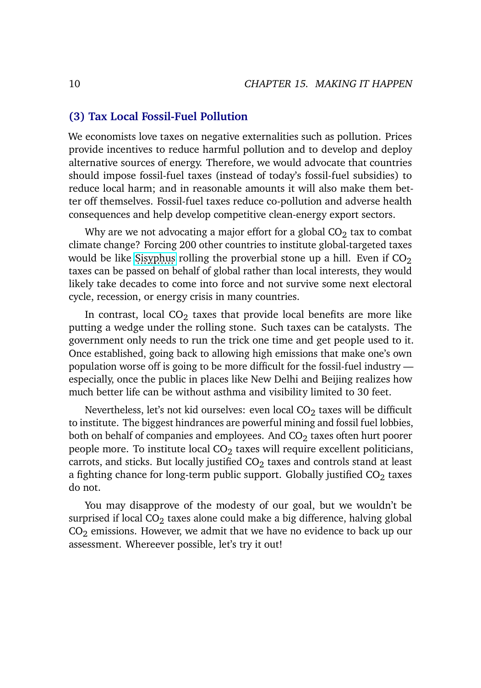### **(3) Tax Local Fossil-Fuel Pollution**

We economists love taxes on negative externalities such as pollution. Prices provide incentives to reduce harmful pollution and to develop and deploy alternative sources of energy. Therefore, we would advocate that countries should impose fossil-fuel taxes (instead of today's fossil-fuel subsidies) to reduce local harm; and in reasonable amounts it will also make them better off themselves. Fossil-fuel taxes reduce co-pollution and adverse health consequences and help develop competitive clean-energy export sectors.

Why are we not advocating a major effort for a global  $CO<sub>2</sub>$  tax to combat climate change? Forcing 200 other countries to institute global-targeted taxes would be like [Sisyphus](https://en.wikipedia.org/wiki/Sisyphus) rolling the proverbial stone up a hill. Even if  $CO<sub>2</sub>$ . taxes can be passed on behalf of global rather than local interests, they would likely take decades to come into force and not survive some next electoral cycle, recession, or energy crisis in many countries.

In contrast, local  $CO<sub>2</sub>$  taxes that provide local benefits are more like putting a wedge under the rolling stone. Such taxes can be catalysts. The government only needs to run the trick one time and get people used to it. Once established, going back to allowing high emissions that make one's own population worse off is going to be more difficult for the fossil-fuel industry especially, once the public in places like New Delhi and Beijing realizes how much better life can be without asthma and visibility limited to 30 feet.

Nevertheless, let's not kid ourselves: even local  $CO<sub>2</sub>$  taxes will be difficult to institute. The biggest hindrances are powerful mining and fossil fuel lobbies, both on behalf of companies and employees. And  $CO<sub>2</sub>$  taxes often hurt poorer people more. To institute local  $CO<sub>2</sub>$  taxes will require excellent politicians, carrots, and sticks. But locally justified  $CO<sub>2</sub>$  taxes and controls stand at least a fighting chance for long-term public support. Globally justified  $CO<sub>2</sub>$  taxes do not.

You may disapprove of the modesty of our goal, but we wouldn't be surprised if local  $CO<sub>2</sub>$  taxes alone could make a big difference, halving global  $CO<sub>2</sub>$  emissions. However, we admit that we have no evidence to back up our assessment. Whereever possible, let's try it out!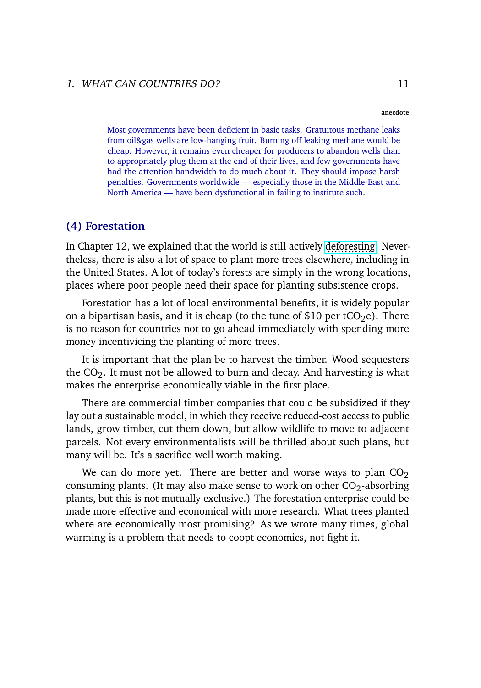#### **anecdote**

Most governments have been deficient in basic tasks. Gratuitous methane leaks from oil&gas wells are low-hanging fruit. Burning off leaking methane would be cheap. However, it remains even cheaper for producers to abandon wells than to appropriately plug them at the end of their lives, and few governments have had the attention bandwidth to do much about it. They should impose harsh penalties. Governments worldwide — especially those in the Middle-East and North America — have been dysfunctional in failing to institute such.

#### **(4) Forestation**

In Chapter 12, we explained that the world is still actively [deforesting.](https://ourworldindata.org/deforestation) Nevertheless, there is also a lot of space to plant more trees elsewhere, including in the United States. A lot of today's forests are simply in the wrong locations, places where poor people need their space for planting subsistence crops.

Forestation has a lot of local environmental benefits, it is widely popular on a bipartisan basis, and it is cheap (to the tune of \$10 per tCO<sub>2</sub>e). There is no reason for countries not to go ahead immediately with spending more money incentivicing the planting of more trees.

It is important that the plan be to harvest the timber. Wood sequesters the  $CO<sub>2</sub>$ . It must not be allowed to burn and decay. And harvesting is what makes the enterprise economically viable in the first place.

There are commercial timber companies that could be subsidized if they lay out a sustainable model, in which they receive reduced-cost access to public lands, grow timber, cut them down, but allow wildlife to move to adjacent parcels. Not every environmentalists will be thrilled about such plans, but many will be. It's a sacrifice well worth making.

We can do more yet. There are better and worse ways to plan  $CO<sub>2</sub>$ consuming plants. (It may also make sense to work on other  $CO<sub>2</sub>$ -absorbing plants, but this is not mutually exclusive.) The forestation enterprise could be made more effective and economical with more research. What trees planted where are economically most promising? As we wrote many times, global warming is a problem that needs to coopt economics, not fight it.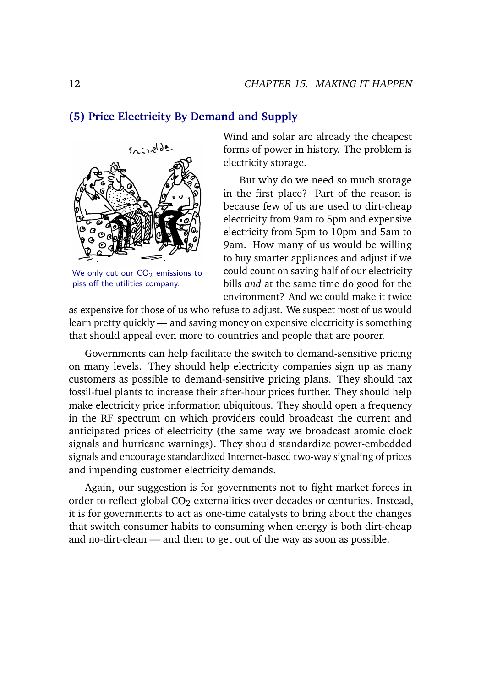#### **(5) Price Electricity By Demand and Supply**



We only cut our  $CO<sub>2</sub>$  emissions to piss off the utilities company.

Wind and solar are already the cheapest forms of power in history. The problem is electricity storage.

But why do we need so much storage in the first place? Part of the reason is because few of us are used to dirt-cheap electricity from 9am to 5pm and expensive electricity from 5pm to 10pm and 5am to 9am. How many of us would be willing to buy smarter appliances and adjust if we could count on saving half of our electricity bills *and* at the same time do good for the environment? And we could make it twice

as expensive for those of us who refuse to adjust. We suspect most of us would learn pretty quickly — and saving money on expensive electricity is something that should appeal even more to countries and people that are poorer.

Governments can help facilitate the switch to demand-sensitive pricing on many levels. They should help electricity companies sign up as many customers as possible to demand-sensitive pricing plans. They should tax fossil-fuel plants to increase their after-hour prices further. They should help make electricity price information ubiquitous. They should open a frequency in the RF spectrum on which providers could broadcast the current and anticipated prices of electricity (the same way we broadcast atomic clock signals and hurricane warnings). They should standardize power-embedded signals and encourage standardized Internet-based two-way signaling of prices and impending customer electricity demands.

Again, our suggestion is for governments not to fight market forces in order to reflect global  $CO<sub>2</sub>$  externalities over decades or centuries. Instead, it is for governments to act as one-time catalysts to bring about the changes that switch consumer habits to consuming when energy is both dirt-cheap and no-dirt-clean — and then to get out of the way as soon as possible.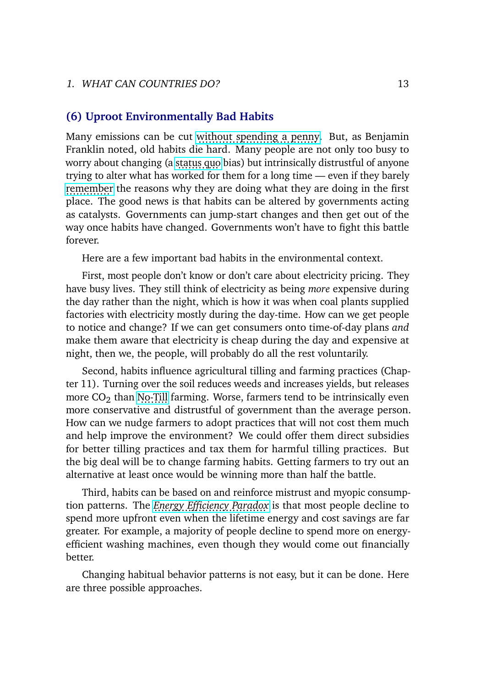#### **(6) Uproot Environmentally Bad Habits**

Many emissions can be cut [without spending a penny.](https://www.cbsnews.com/news/climate-change-methane-natural-gas-oil-emissions) But, as Benjamin Franklin noted, old habits die hard. Many people are not only too busy to worry about changing (a [status quo](https://doi.org/10.1007/BF00055564) bias) but intrinsically distrustful of anyone trying to alter what has worked for them for a long time — even if they barely [remember](https://dx.doi.org/10.1111/j.1430-9134.2002.00379.x) the reasons why they are doing what they are doing in the first place. The good news is that habits can be altered by governments acting as catalysts. Governments can jump-start changes and then get out of the way once habits have changed. Governments won't have to fight this battle forever.

Here are a few important bad habits in the environmental context.

First, most people don't know or don't care about electricity pricing. They have busy lives. They still think of electricity as being *more* expensive during the day rather than the night, which is how it was when coal plants supplied factories with electricity mostly during the day-time. How can we get people to notice and change? If we can get consumers onto time-of-day plans *and* make them aware that electricity is cheap during the day and expensive at night, then we, the people, will probably do all the rest voluntarily.

Second, habits influence agricultural tilling and farming practices (Chapter 11). Turning over the soil reduces weeds and increases yields, but releases more  $CO<sub>2</sub>$  than [No-Till](https://www.usnews.com/news/articles/2016-08-04/could-no-till-farming-reverse-climate-change) farming. Worse, farmers tend to be intrinsically even more conservative and distrustful of government than the average person. How can we nudge farmers to adopt practices that will not cost them much and help improve the environment? We could offer them direct subsidies for better tilling practices and tax them for harmful tilling practices. But the big deal will be to change farming habits. Getting farmers to try out an alternative at least once would be winning more than half the battle.

Third, habits can be based on and reinforce mistrust and myopic consumption patterns. The *[Energy Efficiency Paradox](https://www.epa.gov/sites/default/files/2016-03/documents/2015-03.pdf)* is that most people decline to spend more upfront even when the lifetime energy and cost savings are far greater. For example, a majority of people decline to spend more on energyefficient washing machines, even though they would come out financially better.

Changing habitual behavior patterns is not easy, but it can be done. Here are three possible approaches.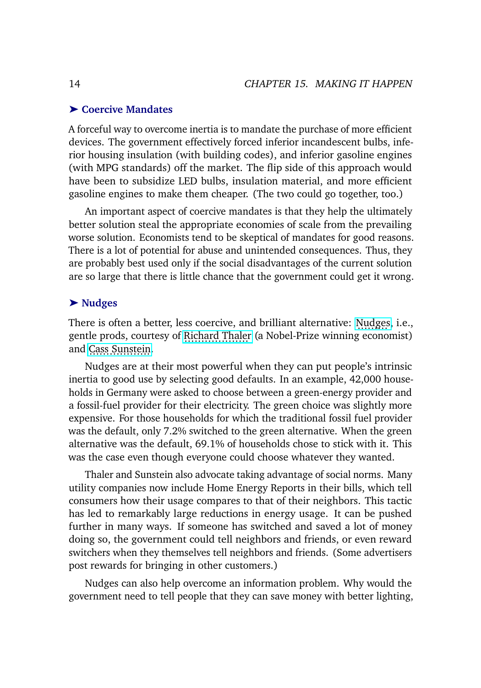#### ➤ **Coercive Mandates**

A forceful way to overcome inertia is to mandate the purchase of more efficient devices. The government effectively forced inferior incandescent bulbs, inferior housing insulation (with building codes), and inferior gasoline engines (with MPG standards) off the market. The flip side of this approach would have been to subsidize LED bulbs, insulation material, and more efficient gasoline engines to make them cheaper. (The two could go together, too.)

An important aspect of coercive mandates is that they help the ultimately better solution steal the appropriate economies of scale from the prevailing worse solution. Economists tend to be skeptical of mandates for good reasons. There is a lot of potential for abuse and unintended consequences. Thus, they are probably best used only if the social disadvantages of the current solution are so large that there is little chance that the government could get it wrong.

#### ➤ **Nudges**

There is often a better, less coercive, and brilliant alternative: [Nudges,](https://en.wikipedia.org/wiki/Nudge_theory) i.e., gentle prods, courtesy of [Richard Thaler](https://en.wikipedia.org/wiki/Richard_Thaler) (a Nobel-Prize winning economist) and [Cass Sunstein.](https://en.wikipedia.org/wiki/Cass_Sunstein)

Nudges are at their most powerful when they can put people's intrinsic inertia to good use by selecting good defaults. In an example, 42,000 households in Germany were asked to choose between a green-energy provider and a fossil-fuel provider for their electricity. The green choice was slightly more expensive. For those households for which the traditional fossil fuel provider was the default, only 7.2% switched to the green alternative. When the green alternative was the default, 69.1% of households chose to stick with it. This was the case even though everyone could choose whatever they wanted.

Thaler and Sunstein also advocate taking advantage of social norms. Many utility companies now include Home Energy Reports in their bills, which tell consumers how their usage compares to that of their neighbors. This tactic has led to remarkably large reductions in energy usage. It can be pushed further in many ways. If someone has switched and saved a lot of money doing so, the government could tell neighbors and friends, or even reward switchers when they themselves tell neighbors and friends. (Some advertisers post rewards for bringing in other customers.)

Nudges can also help overcome an information problem. Why would the government need to tell people that they can save money with better lighting,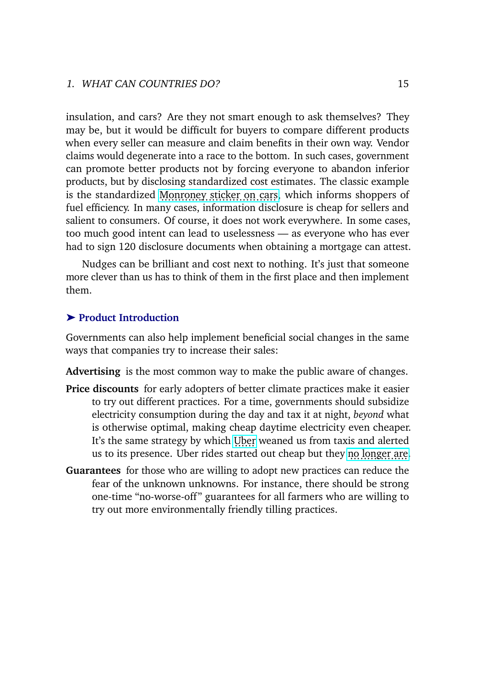insulation, and cars? Are they not smart enough to ask themselves? They may be, but it would be difficult for buyers to compare different products when every seller can measure and claim benefits in their own way. Vendor claims would degenerate into a race to the bottom. In such cases, government can promote better products not by forcing everyone to abandon inferior products, but by disclosing standardized cost estimates. The classic example is the standardized [Monroney sticker on cars,](https://en.wikipedia.org/wiki/Monroney_sticker) which informs shoppers of fuel efficiency. In many cases, information disclosure is cheap for sellers and salient to consumers. Of course, it does not work everywhere. In some cases, too much good intent can lead to uselessness — as everyone who has ever had to sign 120 disclosure documents when obtaining a mortgage can attest.

Nudges can be brilliant and cost next to nothing. It's just that someone more clever than us has to think of them in the first place and then implement them.

#### ➤ **Product Introduction**

Governments can also help implement beneficial social changes in the same ways that companies try to increase their sales:

**Advertising** is the most common way to make the public aware of changes.

- **Price discounts** for early adopters of better climate practices make it easier to try out different practices. For a time, governments should subsidize electricity consumption during the day and tax it at night, *beyond* what is otherwise optimal, making cheap daytime electricity even cheaper. It's the same strategy by which [Uber](https://en.wikipedia.org/wiki/Uber) weaned us from taxis and alerted us to its presence. Uber rides started out cheap but they [no longer are.](https://www.consumerreports.org/personal-finance/uber-vs-taxi-which-is-cheaper/)
- **Guarantees** for those who are willing to adopt new practices can reduce the fear of the unknown unknowns. For instance, there should be strong one-time "no-worse-off " guarantees for all farmers who are willing to try out more environmentally friendly tilling practices.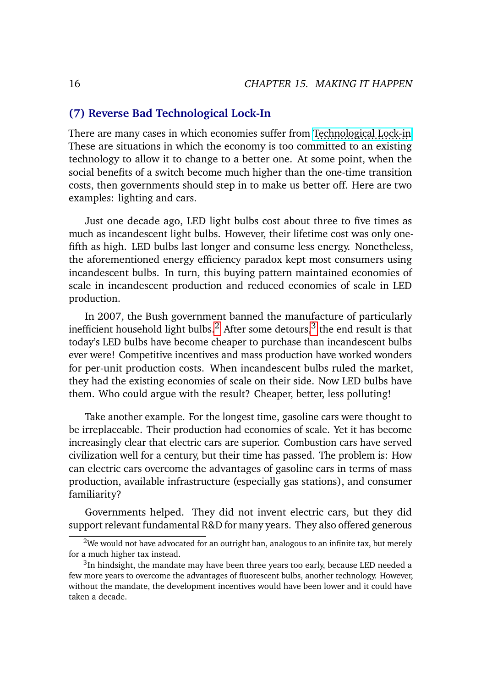#### **(7) Reverse Bad Technological Lock-In**

There are many cases in which economies suffer from [Technological Lock-in.](https://wiki.mises.org/wiki/Technology_lock-in) These are situations in which the economy is too committed to an existing technology to allow it to change to a better one. At some point, when the social benefits of a switch become much higher than the one-time transition costs, then governments should step in to make us better off. Here are two examples: lighting and cars.

Just one decade ago, LED light bulbs cost about three to five times as much as incandescent light bulbs. However, their lifetime cost was only onefifth as high. LED bulbs last longer and consume less energy. Nonetheless, the aforementioned energy efficiency paradox kept most consumers using incandescent bulbs. In turn, this buying pattern maintained economies of scale in incandescent production and reduced economies of scale in LED production.

In 2007, the Bush government banned the manufacture of particularly inefficient household light bulbs.<sup>[2](#page-37-0)</sup> After some detours,<sup>[3](#page-37-0)</sup> the end result is that today's LED bulbs have become cheaper to purchase than incandescent bulbs ever were! Competitive incentives and mass production have worked wonders for per-unit production costs. When incandescent bulbs ruled the market, they had the existing economies of scale on their side. Now LED bulbs have them. Who could argue with the result? Cheaper, better, less polluting!

Take another example. For the longest time, gasoline cars were thought to be irreplaceable. Their production had economies of scale. Yet it has become increasingly clear that electric cars are superior. Combustion cars have served civilization well for a century, but their time has passed. The problem is: How can electric cars overcome the advantages of gasoline cars in terms of mass production, available infrastructure (especially gas stations), and consumer familiarity?

Governments helped. They did not invent electric cars, but they did support relevant fundamental R&D for many years. They also offered generous

<sup>&</sup>lt;sup>2</sup>We would not have advocated for an outright ban, analogous to an infinite tax, but merely for a much higher tax instead.

 ${}^{3}$ In hindsight, the mandate may have been three years too early, because LED needed a few more years to overcome the advantages of fluorescent bulbs, another technology. However, without the mandate, the development incentives would have been lower and it could have taken a decade.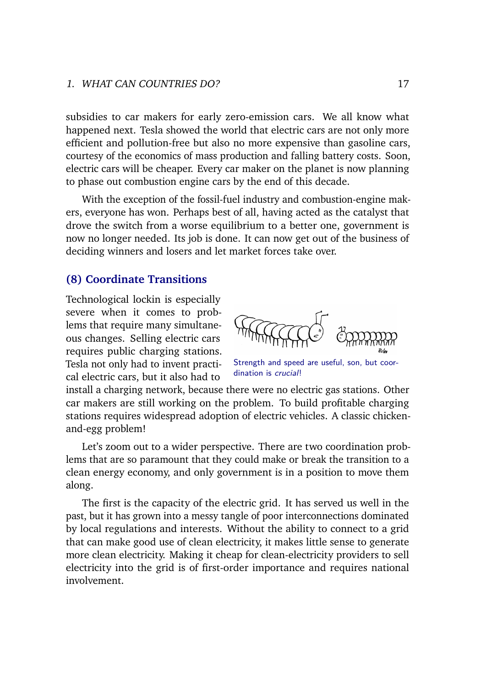subsidies to car makers for early zero-emission cars. We all know what happened next. Tesla showed the world that electric cars are not only more efficient and pollution-free but also no more expensive than gasoline cars, courtesy of the economics of mass production and falling battery costs. Soon, electric cars will be cheaper. Every car maker on the planet is now planning to phase out combustion engine cars by the end of this decade.

With the exception of the fossil-fuel industry and combustion-engine makers, everyone has won. Perhaps best of all, having acted as the catalyst that drove the switch from a worse equilibrium to a better one, government is now no longer needed. Its job is done. It can now get out of the business of deciding winners and losers and let market forces take over.

#### **(8) Coordinate Transitions**

Technological lockin is especially severe when it comes to problems that require many simultaneous changes. Selling electric cars requires public charging stations. Tesla not only had to invent practical electric cars, but it also had to



Strength and speed are useful, son, but coordination is crucial!

install a charging network, because there were no electric gas stations. Other car makers are still working on the problem. To build profitable charging stations requires widespread adoption of electric vehicles. A classic chickenand-egg problem!

Let's zoom out to a wider perspective. There are two coordination problems that are so paramount that they could make or break the transition to a clean energy economy, and only government is in a position to move them along.

The first is the capacity of the electric grid. It has served us well in the past, but it has grown into a messy tangle of poor interconnections dominated by local regulations and interests. Without the ability to connect to a grid that can make good use of clean electricity, it makes little sense to generate more clean electricity. Making it cheap for clean-electricity providers to sell electricity into the grid is of first-order importance and requires national involvement.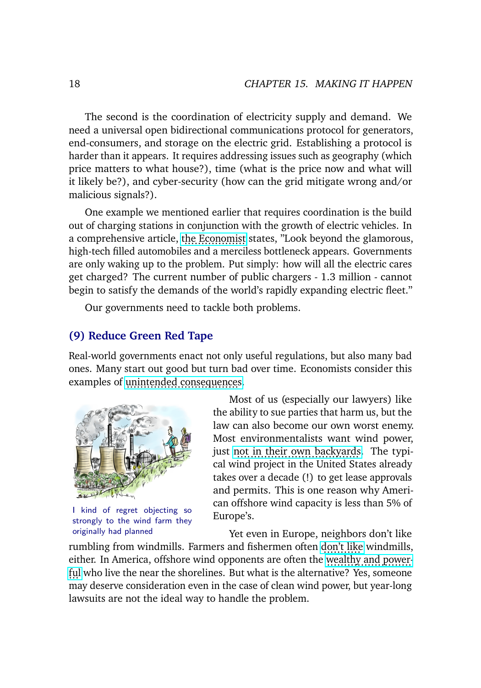The second is the coordination of electricity supply and demand. We need a universal open bidirectional communications protocol for generators, end-consumers, and storage on the electric grid. Establishing a protocol is harder than it appears. It requires addressing issues such as geography (which price matters to what house?), time (what is the price now and what will it likely be?), and cyber-security (how can the grid mitigate wrong and/or malicious signals?).

One example we mentioned earlier that requires coordination is the build out of charging stations in conjunction with the growth of electric vehicles. In a comprehensive article, t<u>he Economist</u> states, "Look beyond the glamorous, high-tech filled automobiles and a merciless bottleneck appears. Governments are only waking up to the problem. Put simply: how will all the electric cares get charged? The current number of public chargers - 1.3 million - cannot begin to satisfy the demands of the world's rapidly expanding electric fleet."

Our governments need to tackle both problems.

### **(9) Reduce Green Red Tape**

Real-world governments enact not only useful regulations, but also many bad ones. Many start out good but turn bad over time. Economists consider this examples of [unintended consequences.](https://en.wikipedia.org/wiki/Unintended_consequences)



I kind of regret objecting so strongly to the wind farm they originally had planned

Most of us (especially our lawyers) like the ability to sue parties that harm us, but the law can also become our own worst enemy. Most environmentalists want wind power, just n<u>ọt in their own backyard</u>s. The typical wind project in the United States already takes over a decade (!) to get lease approvals and permits. This is one reason why American offshore wind capacity is less than 5% of Europe's.

Yet even in Europe, neighbors don't like

rumbling from windmills. Farmers and fishermen often [don't like](https://www.wsj.com/articles/clean-energy-fossil-fuels-protests-11626094401) windmills, either. In America, offshore wind opponents are often the [wealthy and power](https://www.danspapers.com/2019/09/kennedys-used-their-power-to-kill-wind-farm/) [ful](https://www.danspapers.com/2019/09/kennedys-used-their-power-to-kill-wind-farm/) who live the near the shorelines. But what is the alternative? Yes, someone may deserve consideration even in the case of clean wind power, but year-long lawsuits are not the ideal way to handle the problem.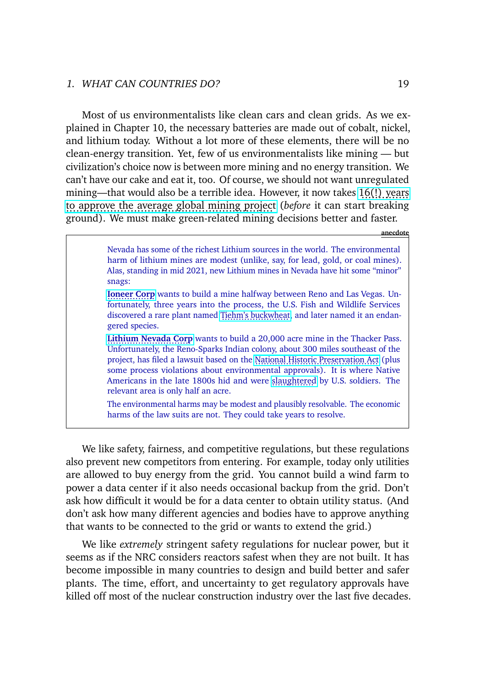Most of us environmentalists like clean cars and clean grids. As we explained in Chapter 10, the necessary batteries are made out of cobalt, nickel, and lithium today. Without a lot more of these elements, there will be no clean-energy transition. Yet, few of us environmentalists like mining — but civilization's choice now is between more mining and no energy transition. We can't have our cake and eat it, too. Of course, we should not want unregulated mining—that would also be a terrible idea. However, it now takes  $16(!)$  years [to approve the average global mining project](https://www.economist.com/briefing/2021/06/12/the-bottlenecks-which-could-constrain-emission-cuts) (*before* it can start breaking ground). We must make green-related mining decisions better and faster.

**anecdote**

Nevada has some of the richest Lithium sources in the world. The environmental harm of lithium mines are modest (unlike, say, for lead, gold, or coal mines). Alas, standing in mid 2021, new Lithium mines in Nevada have hit some "minor" snags:

**[Ioneer Corp](https://apnews.com/article/business-government-and-politics-environment-and-nature-oregon-nevada-d0a03937806c5bf50878ccf26326bb4e)** wants to build a mine halfway between Reno and Las Vegas. Unfortunately, three years into the process, the U.S. Fish and Wildlife Services discovered a rare plant named [Tiehm's buckwheat,](https://en.wikipedia.org/wiki/Eriogonum_tiehmii) and later named it an endangered species.

[Lithium Nevada Corp](https://apnews.com/article/business-government-and-politics-environment-and-nature-oregon-nevada-d0a03937806c5bf50878ccf26326bb4e) wants to build a 20,000 acre mine in the Thacker Pass. Unfortunately, the Reno-Sparks Indian colony, about 300 miles southeast of the project, has filed a lawsuit based on the [National Historic Preservation Act](https://en.wikipedia.org/wiki/National_Historic_Preservation_Act_of_1966) (plus some process violations about environmental approvals). It is where Native Americans in the late 1800s hid and were [slaughtered](https://en.wikipedia.org/wiki/Thacker_Pass_Lithium_Mine) by U.S. soldiers. The relevant area is only half an acre.

The environmental harms may be modest and plausibly resolvable. The economic harms of the law suits are not. They could take years to resolve.

We like safety, fairness, and competitive regulations, but these regulations also prevent new competitors from entering. For example, today only utilities are allowed to buy energy from the grid. You cannot build a wind farm to power a data center if it also needs occasional backup from the grid. Don't ask how difficult it would be for a data center to obtain utility status. (And don't ask how many different agencies and bodies have to approve anything that wants to be connected to the grid or wants to extend the grid.)

We like *extremely* stringent safety regulations for nuclear power, but it seems as if the NRC considers reactors safest when they are not built. It has become impossible in many countries to design and build better and safer plants. The time, effort, and uncertainty to get regulatory approvals have killed off most of the nuclear construction industry over the last five decades.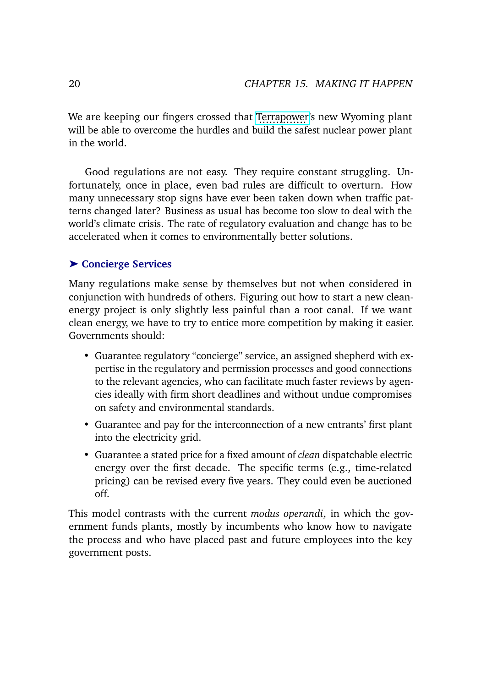We are keeping our fingers crossed that [Terrapower'](http://www.terrapower.com)s new Wyoming plant will be able to overcome the hurdles and build the safest nuclear power plant in the world.

Good regulations are not easy. They require constant struggling. Unfortunately, once in place, even bad rules are difficult to overturn. How many unnecessary stop signs have ever been taken down when traffic patterns changed later? Business as usual has become too slow to deal with the world's climate crisis. The rate of regulatory evaluation and change has to be accelerated when it comes to environmentally better solutions.

### ➤ **Concierge Services**

Many regulations make sense by themselves but not when considered in conjunction with hundreds of others. Figuring out how to start a new cleanenergy project is only slightly less painful than a root canal. If we want clean energy, we have to try to entice more competition by making it easier. Governments should:

- Guarantee regulatory "concierge" service, an assigned shepherd with expertise in the regulatory and permission processes and good connections to the relevant agencies, who can facilitate much faster reviews by agencies ideally with firm short deadlines and without undue compromises on safety and environmental standards.
- Guarantee and pay for the interconnection of a new entrants' first plant into the electricity grid.
- Guarantee a stated price for a fixed amount of *clean* dispatchable electric energy over the first decade. The specific terms (e.g., time-related pricing) can be revised every five years. They could even be auctioned off.

This model contrasts with the current *modus operandi*, in which the government funds plants, mostly by incumbents who know how to navigate the process and who have placed past and future employees into the key government posts.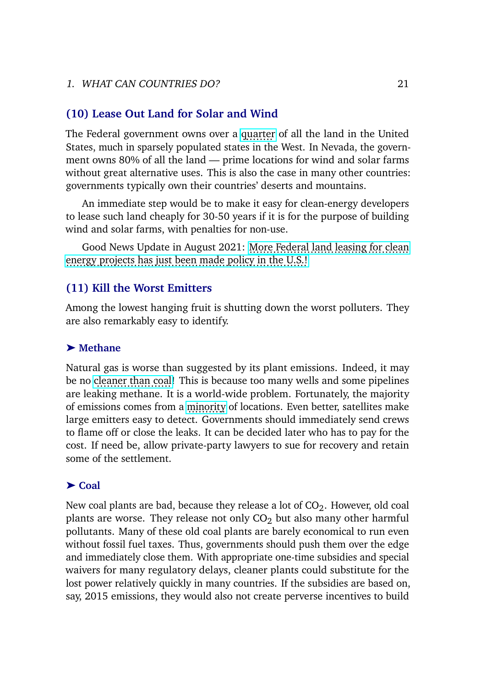#### **(10) Lease Out Land for Solar and Wind**

The Federal government owns over a [quarter](https://sgp.fas.org/crs/misc/R42346.pdf) of all the land in the United States, much in sparsely populated states in the West. In Nevada, the government owns 80% of all the land — prime locations for wind and solar farms without great alternative uses. This is also the case in many other countries: governments typically own their countries' deserts and mountains.

An immediate step would be to make it easy for clean-energy developers to lease such land cheaply for 30-50 years if it is for the purpose of building wind and solar farms, with penalties for non-use.

Good News Update in August 2021: [More Federal land leasing for clean](https://www.reuters.com/world/us/exclusive-biden-administration-aims-cut-costs-solar-wind-projects-public-land-2021-08-31/) [energy projects has just been made policy in the U.S.!](https://www.reuters.com/world/us/exclusive-biden-administration-aims-cut-costs-solar-wind-projects-public-land-2021-08-31/)

### **(11) Kill the Worst Emitters**

Among the lowest hanging fruit is shutting down the worst polluters. They are also remarkably easy to identify.

#### ➤ **Methane**

Natural gas is worse than suggested by its plant emissions. Indeed, it may be no c<u>leaner than coa</u>l! This is because too many wells and some pipelines are leaking methane. It is a world-wide problem. Fortunately, the majority of emissions comes from a [minority](https://arstechnica.com/science/2021/08/most-of-the-power-sectors-emissions-come-from-a-small-minority-of-plants/) of locations. Even better, satellites make large emitters easy to detect. Governments should immediately send crews to flame off or close the leaks. It can be decided later who has to pay for the cost. If need be, allow private-party lawyers to sue for recovery and retain some of the settlement.

#### ➤ **Coal**

New coal plants are bad, because they release a lot of  $CO<sub>2</sub>$ . However, old coal plants are worse. They release not only  $CO<sub>2</sub>$  but also many other harmful pollutants. Many of these old coal plants are barely economical to run even without fossil fuel taxes. Thus, governments should push them over the edge and immediately close them. With appropriate one-time subsidies and special waivers for many regulatory delays, cleaner plants could substitute for the lost power relatively quickly in many countries. If the subsidies are based on, say, 2015 emissions, they would also not create perverse incentives to build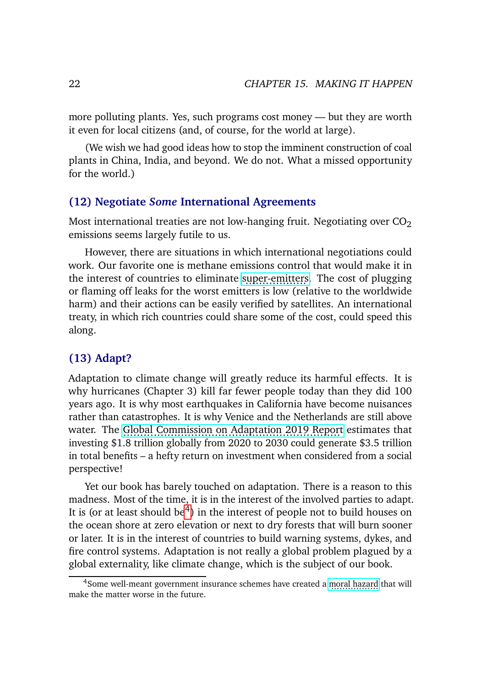more polluting plants. Yes, such programs cost money — but they are worth it even for local citizens (and, of course, for the world at large).

(We wish we had good ideas how to stop the imminent construction of coal plants in China, India, and beyond. We do not. What a missed opportunity for the world.)

#### **(12) Negotiate** *Some* **International Agreements**

Most international treaties are not low-hanging fruit. Negotiating over  $CO<sub>2</sub>$ emissions seems largely futile to us.

However, there are situations in which international negotiations could work. Our favorite one is methane emissions control that would make it in the interest of countries to eliminate [super-emitters.](https://www.bbc.com/future/article/20210805-the-search-for-the-worlds-largest-methane-sources) The cost of plugging or flaming off leaks for the worst emitters is low (relative to the worldwide harm) and their actions can be easily verified by satellites. An international treaty, in which rich countries could share some of the cost, could speed this along.

### **(13) Adapt?**

Adaptation to climate change will greatly reduce its harmful effects. It is why hurricanes (Chapter 3) kill far fewer people today than they did 100 years ago. It is why most earthquakes in California have become nuisances rather than catastrophes. It is why Venice and the Netherlands are still above water. The [Global Commission on Adaptation 2019 Report](https://gca.org/reports/) estimates that investing \$1.8 trillion globally from 2020 to 2030 could generate \$3.5 trillion in total benefits – a hefty return on investment when considered from a social perspective!

Yet our book has barely touched on adaptation. There is a reason to this madness. Most of the time, it is in the interest of the involved parties to adapt. It is (or at least should be<sup>[4](#page-37-0)</sup>) in the interest of people not to build houses on the ocean shore at zero elevation or next to dry forests that will burn sooner or later. It is in the interest of countries to build warning systems, dykes, and fire control systems. Adaptation is not really a global problem plagued by a global externality, like climate change, which is the subject of our book.

<sup>&</sup>lt;sup>4</sup>Some well-meant government insurance schemes have created a [moral hazard](https://en.wikipedia.org/wiki/Moral_hazard) that will make the matter worse in the future.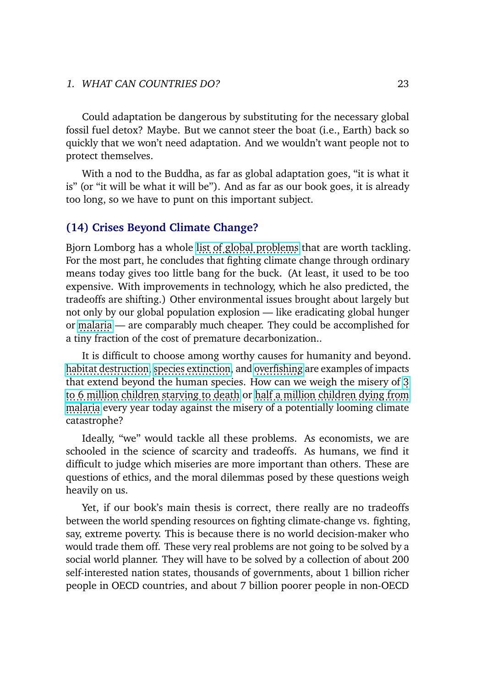Could adaptation be dangerous by substituting for the necessary global fossil fuel detox? Maybe. But we cannot steer the boat (i.e., Earth) back so quickly that we won't need adaptation. And we wouldn't want people not to protect themselves.

With a nod to the Buddha, as far as global adaptation goes, "it is what it is" (or "it will be what it will be"). And as far as our book goes, it is already too long, so we have to punt on this important subject.

#### **(14) Crises Beyond Climate Change?**

Bjorn Lomborg has a whole l<u>ist of global problem</u>s that are worth tackling. For the most part, he concludes that fighting climate change through ordinary means today gives too little bang for the buck. (At least, it used to be too expensive. With improvements in technology, which he also predicted, the tradeoffs are shifting.) Other environmental issues brought about largely but not only by our global population explosion — like eradicating global hunger or [malaria](https://www.thelancet.com/journals/langlo/article/PIIS2214-109X%2813%2970002-0/fulltext) — are comparably much cheaper. They could be accomplished for a tiny fraction of the cost of premature decarbonization..

It is difficult to choose among worthy causes for humanity and beyond. [habitat destruction,](https://en.wikipedia.org/wiki/Habitat_destruction) [species extinction,](https://en.wikipedia.org/wiki/Holocene_extinction) and [overfishing](https://en.wikipedia.org/wiki/Over fishing) are examples of impacts that extend beyond the human species. How can we weigh the misery of [3.](https://www.worldhunger.org/world-child-hunger-facts/) [to 6 million children starving to death](https://www.worldhunger.org/world-child-hunger-facts/) or [half a million children dying from](https://www.unicefusa.org/press/releases/despite-progress-1500-african-children-die-daily-malaria/8240) [malaria](https://www.unicefusa.org/press/releases/despite-progress-1500-african-children-die-daily-malaria/8240) every year today against the misery of a potentially looming climate catastrophe?

Ideally, "we" would tackle all these problems. As economists, we are schooled in the science of scarcity and tradeoffs. As humans, we find it difficult to judge which miseries are more important than others. These are questions of ethics, and the moral dilemmas posed by these questions weigh heavily on us.

Yet, if our book's main thesis is correct, there really are no tradeoffs between the world spending resources on fighting climate-change vs. fighting, say, extreme poverty. This is because there is no world decision-maker who would trade them off. These very real problems are not going to be solved by a social world planner. They will have to be solved by a collection of about 200 self-interested nation states, thousands of governments, about 1 billion richer people in OECD countries, and about 7 billion poorer people in non-OECD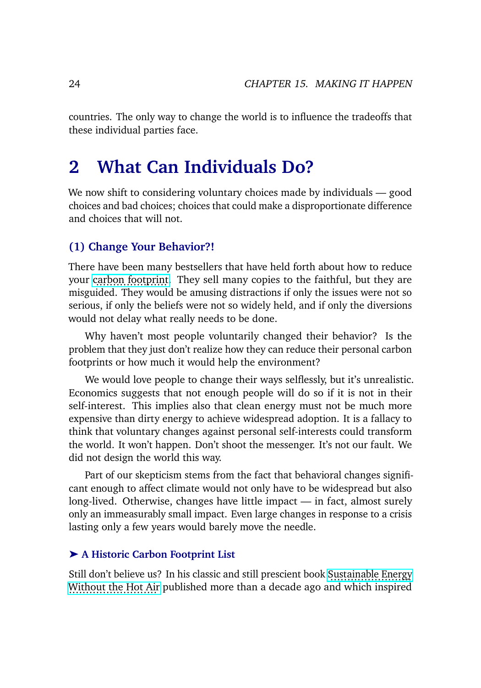countries. The only way to change the world is to influence the tradeoffs that these individual parties face.

## **2 What Can Individuals Do?**

We now shift to considering voluntary choices made by individuals — good choices and bad choices; choices that could make a disproportionate difference and choices that will not.

### **(1) Change Your Behavior?!**

There have been many bestsellers that have held forth about how to reduce your [carbon footprint.](https://en.wikipedia.org/wiki/Carbon_footprint) They sell many copies to the faithful, but they are misguided. They would be amusing distractions if only the issues were not so serious, if only the beliefs were not so widely held, and if only the diversions would not delay what really needs to be done.

Why haven't most people voluntarily changed their behavior? Is the problem that they just don't realize how they can reduce their personal carbon footprints or how much it would help the environment?

We would love people to change their ways selflessly, but it's unrealistic. Economics suggests that not enough people will do so if it is not in their self-interest. This implies also that clean energy must not be much more expensive than dirty energy to achieve widespread adoption. It is a fallacy to think that voluntary changes against personal self-interests could transform the world. It won't happen. Don't shoot the messenger. It's not our fault. We did not design the world this way.

Part of our skepticism stems from the fact that behavioral changes significant enough to affect climate would not only have to be widespread but also long-lived. Otherwise, changes have little impact — in fact, almost surely only an immeasurably small impact. Even large changes in response to a crisis lasting only a few years would barely move the needle.

#### ➤ **A Historic Carbon Footprint List**

Still don't believe us? In his classic and still prescient book [Sustainable Energy](https://www.withouthotair.com/) [Without the Hot Air](https://www.withouthotair.com/) published more than a decade ago and which inspired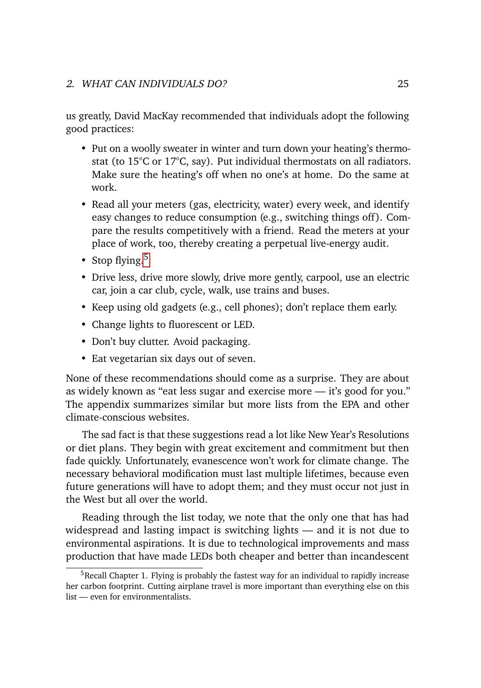#### 2. WHAT CAN INDIVIDUALS DO? 25

us greatly, David MacKay recommended that individuals adopt the following good practices:

- Put on a woolly sweater in winter and turn down your heating's thermostat (to 15°C or 17°C, say). Put individual thermostats on all radiators. Make sure the heating's off when no one's at home. Do the same at work.
- Read all your meters (gas, electricity, water) every week, and identify easy changes to reduce consumption (e.g., switching things off). Compare the results competitively with a friend. Read the meters at your place of work, too, thereby creating a perpetual live-energy audit.
- Stop flying. $5$
- Drive less, drive more slowly, drive more gently, carpool, use an electric car, join a car club, cycle, walk, use trains and buses.
- Keep using old gadgets (e.g., cell phones); don't replace them early.
- Change lights to fluorescent or LED.
- Don't buy clutter. Avoid packaging.
- Eat vegetarian six days out of seven.

None of these recommendations should come as a surprise. They are about as widely known as "eat less sugar and exercise more — it's good for you." The appendix summarizes similar but more lists from the EPA and other climate-conscious websites.

The sad fact is that these suggestions read a lot like New Year's Resolutions or diet plans. They begin with great excitement and commitment but then fade quickly. Unfortunately, evanescence won't work for climate change. The necessary behavioral modification must last multiple lifetimes, because even future generations will have to adopt them; and they must occur not just in the West but all over the world.

Reading through the list today, we note that the only one that has had widespread and lasting impact is switching lights — and it is not due to environmental aspirations. It is due to technological improvements and mass production that have made LEDs both cheaper and better than incandescent

<sup>&</sup>lt;sup>5</sup>Recall Chapter 1. Flying is probably the fastest way for an individual to rapidly increase her carbon footprint. Cutting airplane travel is more important than everything else on this list — even for environmentalists.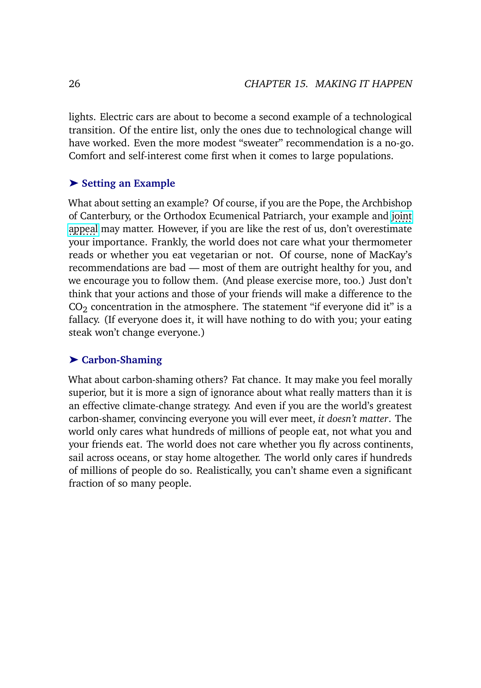lights. Electric cars are about to become a second example of a technological transition. Of the entire list, only the ones due to technological change will have worked. Even the more modest "sweater" recommendation is a no-go. Comfort and self-interest come first when it comes to large populations.

#### ➤ **Setting an Example**

What about setting an example? Of course, if you are the Pope, the Archbishop of Canterbury, or the Orthodox Ecumenical Patriarch, your example and [joint](https://www.reuters.com/business/environment/worlds-top-three-christian-leaders-climate-appeal-ahead-un-summit-2021-09-07/) [appeal](https://www.reuters.com/business/environment/worlds-top-three-christian-leaders-climate-appeal-ahead-un-summit-2021-09-07/) may matter. However, if you are like the rest of us, don't overestimate your importance. Frankly, the world does not care what your thermometer reads or whether you eat vegetarian or not. Of course, none of MacKay's recommendations are bad — most of them are outright healthy for you, and we encourage you to follow them. (And please exercise more, too.) Just don't think that your actions and those of your friends will make a difference to the  $CO<sub>2</sub>$  concentration in the atmosphere. The statement "if everyone did it" is a fallacy. (If everyone does it, it will have nothing to do with you; your eating steak won't change everyone.)

#### ➤ **Carbon-Shaming**

What about carbon-shaming others? Fat chance. It may make you feel morally superior, but it is more a sign of ignorance about what really matters than it is an effective climate-change strategy. And even if you are the world's greatest carbon-shamer, convincing everyone you will ever meet, *it doesn't matter*. The world only cares what hundreds of millions of people eat, not what you and your friends eat. The world does not care whether you fly across continents, sail across oceans, or stay home altogether. The world only cares if hundreds of millions of people do so. Realistically, you can't shame even a significant fraction of so many people.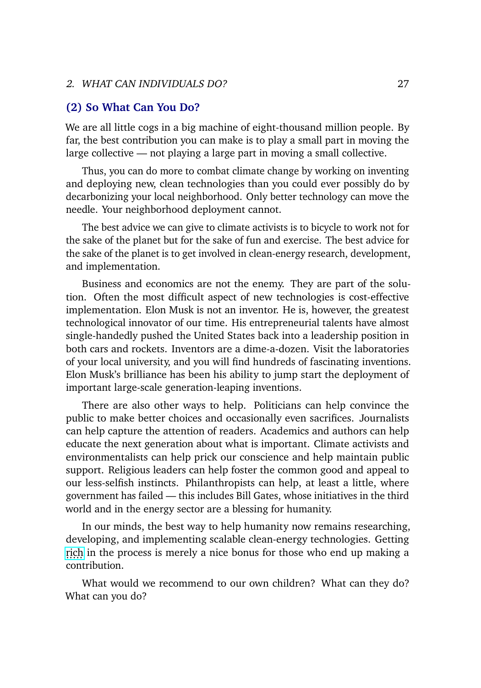#### 2. WHAT CAN INDIVIDUALS DO? 27

#### **(2) So What Can You Do?**

We are all little cogs in a big machine of eight-thousand million people. By far, the best contribution you can make is to play a small part in moving the large collective — not playing a large part in moving a small collective.

Thus, you can do more to combat climate change by working on inventing and deploying new, clean technologies than you could ever possibly do by decarbonizing your local neighborhood. Only better technology can move the needle. Your neighborhood deployment cannot.

The best advice we can give to climate activists is to bicycle to work not for the sake of the planet but for the sake of fun and exercise. The best advice for the sake of the planet is to get involved in clean-energy research, development, and implementation.

Business and economics are not the enemy. They are part of the solution. Often the most difficult aspect of new technologies is cost-effective implementation. Elon Musk is not an inventor. He is, however, the greatest technological innovator of our time. His entrepreneurial talents have almost single-handedly pushed the United States back into a leadership position in both cars and rockets. Inventors are a dime-a-dozen. Visit the laboratories of your local university, and you will find hundreds of fascinating inventions. Elon Musk's brilliance has been his ability to jump start the deployment of important large-scale generation-leaping inventions.

There are also other ways to help. Politicians can help convince the public to make better choices and occasionally even sacrifices. Journalists can help capture the attention of readers. Academics and authors can help educate the next generation about what is important. Climate activists and environmentalists can help prick our conscience and help maintain public support. Religious leaders can help foster the common good and appeal to our less-selfish instincts. Philanthropists can help, at least a little, where government has failed — this includes Bill Gates, whose initiatives in the third world and in the energy sector are a blessing for humanity.

In our minds, the best way to help humanity now remains researching, developing, and implementing scalable clean-energy technologies. Getting [rich](https://www.cnbc.com/2021/10/20/bill-gates-expects-8-to-10-teslas-and-a-google-amazon-and-microsoft.html) in the process is merely a nice bonus for those who end up making a contribution.

What would we recommend to our own children? What can they do? What can you do?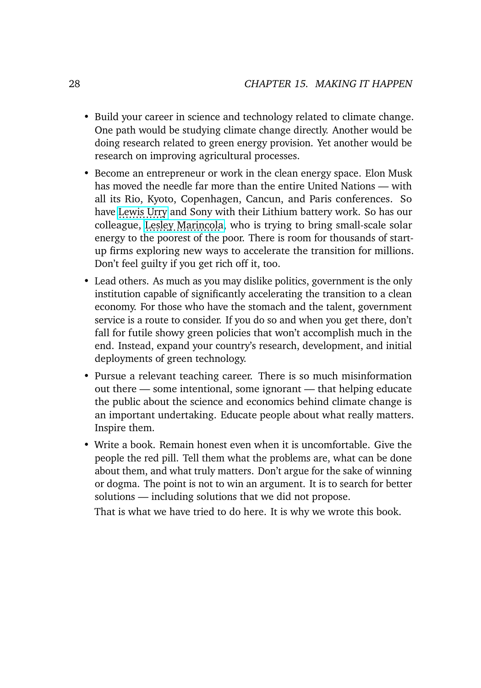- Build your career in science and technology related to climate change. One path would be studying climate change directly. Another would be doing research related to green energy provision. Yet another would be research on improving agricultural processes.
- Become an entrepreneur or work in the clean energy space. Elon Musk has moved the needle far more than the entire United Nations — with all its Rio, Kyoto, Copenhagen, Cancun, and Paris conferences. So have [Lewis Urry](https://en.wikipedia.org/wiki/Lewis_Urry) and Sony with their Lithium battery work. So has our colleague, [Lesley Marincola,](https://www.ioes.ucla.edu/news/making-solar-power-affordable-developing-countries/) who is trying to bring small-scale solar energy to the poorest of the poor. There is room for thousands of startup firms exploring new ways to accelerate the transition for millions. Don't feel guilty if you get rich off it, too.
- Lead others. As much as you may dislike politics, government is the only institution capable of significantly accelerating the transition to a clean economy. For those who have the stomach and the talent, government service is a route to consider. If you do so and when you get there, don't fall for futile showy green policies that won't accomplish much in the end. Instead, expand your country's research, development, and initial deployments of green technology.
- Pursue a relevant teaching career. There is so much misinformation out there — some intentional, some ignorant — that helping educate the public about the science and economics behind climate change is an important undertaking. Educate people about what really matters. Inspire them.
- Write a book. Remain honest even when it is uncomfortable. Give the people the red pill. Tell them what the problems are, what can be done about them, and what truly matters. Don't argue for the sake of winning or dogma. The point is not to win an argument. It is to search for better solutions — including solutions that we did not propose.

That is what we have tried to do here. It is why we wrote this book.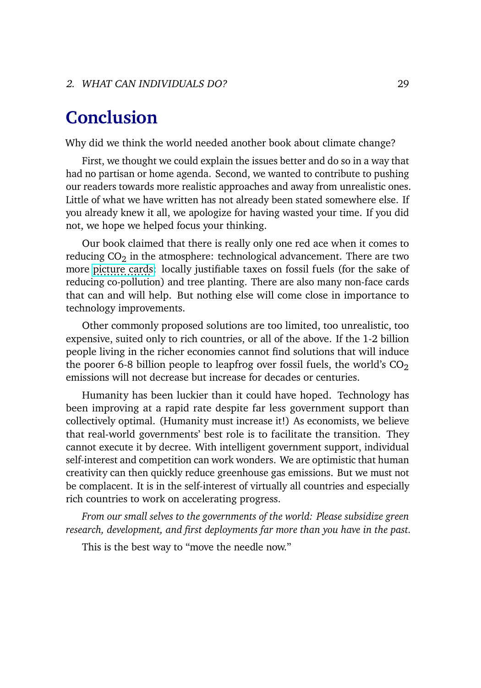## **Conclusion**

Why did we think the world needed another book about climate change?

First, we thought we could explain the issues better and do so in a way that had no partisan or home agenda. Second, we wanted to contribute to pushing our readers towards more realistic approaches and away from unrealistic ones. Little of what we have written has not already been stated somewhere else. If you already knew it all, we apologize for having wasted your time. If you did not, we hope we helped focus your thinking.

Our book claimed that there is really only one red ace when it comes to reducing  $CO<sub>2</sub>$  in the atmosphere: technological advancement. There are two more [picture cards:](https://en.wikipedia.org/wiki/Glossary_of_card_game_terms#picture_card) locally justifiable taxes on fossil fuels (for the sake of reducing co-pollution) and tree planting. There are also many non-face cards that can and will help. But nothing else will come close in importance to technology improvements.

Other commonly proposed solutions are too limited, too unrealistic, too expensive, suited only to rich countries, or all of the above. If the 1-2 billion people living in the richer economies cannot find solutions that will induce the poorer 6-8 billion people to leapfrog over fossil fuels, the world's  $CO<sub>2</sub>$ emissions will not decrease but increase for decades or centuries.

Humanity has been luckier than it could have hoped. Technology has been improving at a rapid rate despite far less government support than collectively optimal. (Humanity must increase it!) As economists, we believe that real-world governments' best role is to facilitate the transition. They cannot execute it by decree. With intelligent government support, individual self-interest and competition can work wonders. We are optimistic that human creativity can then quickly reduce greenhouse gas emissions. But we must not be complacent. It is in the self-interest of virtually all countries and especially rich countries to work on accelerating progress.

*From our small selves to the governments of the world: Please subsidize green research, development, and first deployments far more than you have in the past.*

This is the best way to "move the needle now."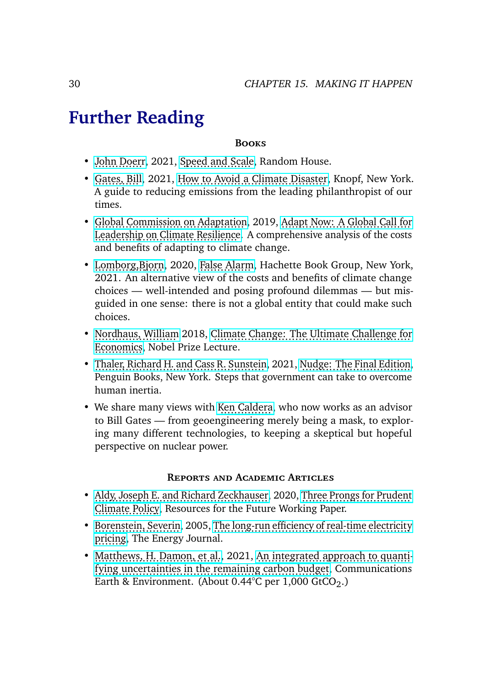## **Further Reading**

#### **Books**

- [John Doerr,](https://en.wikipedia.org/wiki/John_Doerr) 2021, [Speed and Scale,](https://www.penguinrandomhouse.com/books/688191/speed-and-scale-by-john-doerr/) Random House.
- [Gates, Bill,](https://en.wikipedia.org/wiki/Bill_Gates) 2021, [How to Avoid a Climate Disaster,](https://www.amazon.com/dp/B07YRY461Y) Knopf, New York. A guide to reducing emissions from the leading philanthropist of our times.
- [Global Commission on Adaptation,](https://gca.org/about-us/the-global-commission-on-adaptation/) 2019, [Adapt Now: A Global Call for](https://gca.org/about-us/the-global-commission-on-adaptation/) [Leadership on Climate Resilience.](https://gca.org/about-us/the-global-commission-on-adaptation/) A comprehensive analysis of the costs and benefits of adapting to climate change.
- Lomborg, Biorn, 2020, [False Alarm,](https://www.amazon.com/dp/B0828MF8S4) Hachette Book Group, New York, 2021. An alternative view of the costs and benefits of climate change choices — well-intended and posing profound dilemmas — but misguided in one sense: there is not a global entity that could make such choices.
- [Nordhaus, William](https://williamnordhaus.com/) 2018, [Climate Change: The Ultimate Challenge for](https://www.nobelprize.org/prizes/economic-sciences/2018/nordhaus/lecture/) [Economics,](https://www.nobelprize.org/prizes/economic-sciences/2018/nordhaus/lecture/) Nobel Prize Lecture.
- [Thaler, Richard H. and Cass R. Sunstein,](https://en.wikipedia.org/wiki/Nudge_(book)) 2021, [Nudge: The Final Edition,](https://https://www.amazon.com/Nudge-Final-Richard-H-Thaler/dp/014313700X) Penguin Books, New York. Steps that government can take to overcome human inertia.
- We share many views with [Ken Caldera,](https://www.reuters.com/investigates/special-report/climate-change-scientists-caldeira/) who now works as an advisor to Bill Gates — from geoengineering merely being a mask, to exploring many different technologies, to keeping a skeptical but hopeful perspective on nuclear power.

#### **Reports and Academic Articles**

- [Aldy, Joseph E. and Richard Zeckhauser,](https://geoengineering.environment.harvard.edu/joe-aldy-and-richard-zeckhauser-decision-theory-and-anomalies-solar-geoengineering) 2020, [Three Prongs for Prudent](https://www.nber.org/papers/w26991) [Climate Policy,](https://www.nber.org/papers/w26991) Resources for the Future Working Paper.
- [Borenstein, Severin,](https://haas.berkeley.edu/faculty/borenstein-severin/) 2005, [The long-run efficiency of real-time electricity](http://faculty.haas.berkeley.edu/borenste/download/EnJo05RTPsim.pdf) [pricing,](http://faculty.haas.berkeley.edu/borenste/download/EnJo05RTPsim.pdf) The Energy Journal.
- [Matthews, H. Damon, et al.,](https://theconversation.com/profiles/h-damon-matthews-91446) 2021, [An integrated approach to quanti](https://www.nature.com/articles/s43247-020-00064-9) [fying uncertainties in the remaining carbon budget,](https://www.nature.com/articles/s43247-020-00064-9) Communications Earth & Environment. (About  $0.44^{\circ}$ C per 1,000 GtCO<sub>2</sub>.)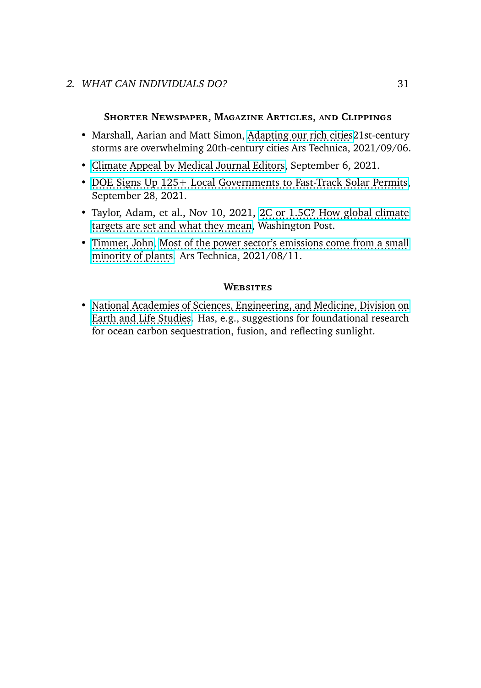#### 2. WHAT CAN INDIVIDUALS DO? 31

#### **Shorter Newspaper, Magazine Articles, and Clippings**

- Marshall, Aarian and Matt Simon, Adapting our rich cities 21st-century storms are overwhelming 20th-century cities Ars Technica, 2021/09/06.
- [Climate Appeal by Medical Journal Editors,](https://www.wsj.com/articles/action-on-climate-change-is-urged-by-medical-journals-in-unprecedented-plea-11630886402) September 6, 2021.
- [DOE Signs Up 125+ Local Governments to Fast-Track Solar Permits,](https://www.energy.gov/articles/doe-signs-125-local-governments-fast-track-solar-permits) September 28, 2021.
- Taylor, Adam, et al., Nov 10, 2021, [2C or 1.5C? How global climate](https://www.washingtonpost.com/world/2021/11/10/15c-2c-climate-temperature-targets-cop26/) [targets are set and what they mean,](https://www.washingtonpost.com/world/2021/11/10/15c-2c-climate-temperature-targets-cop26/) Washington Post.
- [Timmer, John,](https://arstechnica.com/author/john-timmer/) [Most of the power sector's emissions come from a small](https://arstechnica.com/science/2021/08/most-of-the-power-sectors-emissions-come-from-a-small-minority-of-plants/) [minority of plants.](https://arstechnica.com/science/2021/08/most-of-the-power-sectors-emissions-come-from-a-small-minority-of-plants/) Ars Technica, 2021/08/11.

#### **Websites**

• [National Academies of Sciences, Engineering, and Medicine, Division on](https://www.nap.edu/author/DELS/division-on-earth-and-life-studies) [Earth and Life Studies.](https://www.nap.edu/author/DELS/division-on-earth-and-life-studies) Has, e.g., suggestions for foundational research for ocean carbon sequestration, fusion, and reflecting sunlight.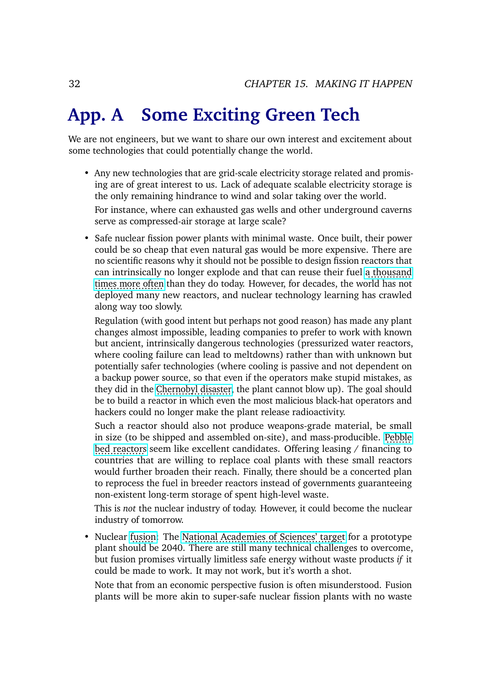## **App. A Some Exciting Green Tech**

We are not engineers, but we want to share our own interest and excitement about some technologies that could potentially change the world.

• Any new technologies that are grid-scale electricity storage related and promising are of great interest to us. Lack of adequate scalable electricity storage is the only remaining hindrance to wind and solar taking over the world.

For instance, where can exhausted gas wells and other underground caverns serve as compressed-air storage at large scale?

• Safe nuclear fission power plants with minimal waste. Once built, their power could be so cheap that even natural gas would be more expensive. There are no scientific reasons why it should not be possible to design fission reactors that can intrinsically no longer explode and that can reuse their fuel [a thousand](https://www.scientificamerican.com/article/how-do-fast-breeder-react/) [times more often](https://www.scientificamerican.com/article/how-do-fast-breeder-react/) than they do today. However, for decades, the world has not deployed many new reactors, and nuclear technology learning has crawled along way too slowly.

Regulation (with good intent but perhaps not good reason) has made any plant changes almost impossible, leading companies to prefer to work with known but ancient, intrinsically dangerous technologies (pressurized water reactors, where cooling failure can lead to meltdowns) rather than with unknown but potentially safer technologies (where cooling is passive and not dependent on a backup power source, so that even if the operators make stupid mistakes, as they did in the [Chernobyl disaster,](https://en.wikipedia.org/wiki/Chernobyl_disaster) the plant cannot blow up). The goal should be to build a reactor in which even the most malicious black-hat operators and hackers could no longer make the plant release radioactivity.

Such a reactor should also not produce weapons-grade material, be small in size (to be shipped and assembled on-site), and mass-producible. [Pebble](https://en.wikipedia.org/wiki/Pebble-bed_reactor) [bed reactors](https://en.wikipedia.org/wiki/Pebble-bed_reactor) seem like excellent candidates. Offering leasing / financing to countries that are willing to replace coal plants with these small reactors would further broaden their reach. Finally, there should be a concerted plan to reprocess the fuel in breeder reactors instead of governments guaranteeing non-existent long-term storage of spent high-level waste.

This is *not* the nuclear industry of today. However, it could become the nuclear industry of tomorrow.

• Nuclear [fusion:](https://www.sciencemag.org/news/2020/12/us-physicists-rally-around-ambitious-plan-build-fusion-power-plant) The [National Academies of Sciences' target](https://www.nationalacademies.org/our-work/key-goals-and-innovations-needed-for-a-us-fusion-pilot-plant) for a prototype plant should be 2040. There are still many technical challenges to overcome, but fusion promises virtually limitless safe energy without waste products *if* it could be made to work. It may not work, but it's worth a shot.

Note that from an economic perspective fusion is often misunderstood. Fusion plants will be more akin to super-safe nuclear fission plants with no waste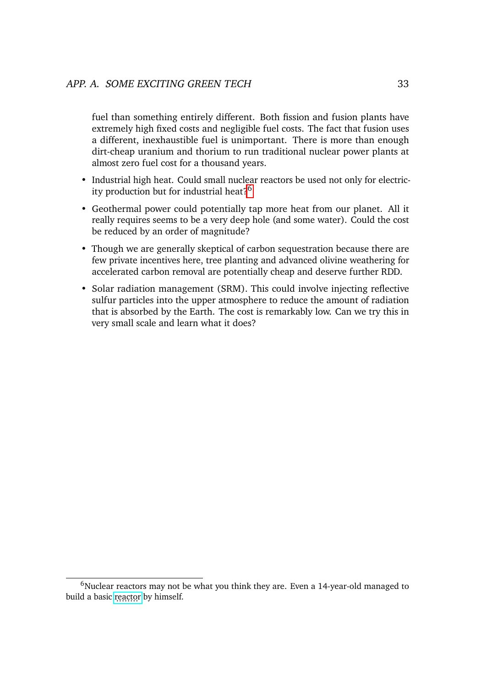fuel than something entirely different. Both fission and fusion plants have extremely high fixed costs and negligible fuel costs. The fact that fusion uses a different, inexhaustible fuel is unimportant. There is more than enough dirt-cheap uranium and thorium to run traditional nuclear power plants at almost zero fuel cost for a thousand years.

- Industrial high heat. Could small nuclear reactors be used not only for electric-ity production but for industrial heat?<sup>[6](#page-37-0)</sup>
- Geothermal power could potentially tap more heat from our planet. All it really requires seems to be a very deep hole (and some water). Could the cost be reduced by an order of magnitude?
- Though we are generally skeptical of carbon sequestration because there are few private incentives here, tree planting and advanced olivine weathering for accelerated carbon removal are potentially cheap and deserve further RDD.
- Solar radiation management (SRM). This could involve injecting reflective sulfur particles into the upper atmosphere to reduce the amount of radiation that is absorbed by the Earth. The cost is remarkably low. Can we try this in very small scale and learn what it does?

 $6$ Nuclear reactors may not be what you think they are. Even a 14-year-old managed to build a basic [reactor](https://www.nationalgeographic.com/culture/article/150726-nuclear-reactor-fusion-science-kid-ngbooktalk) by himself.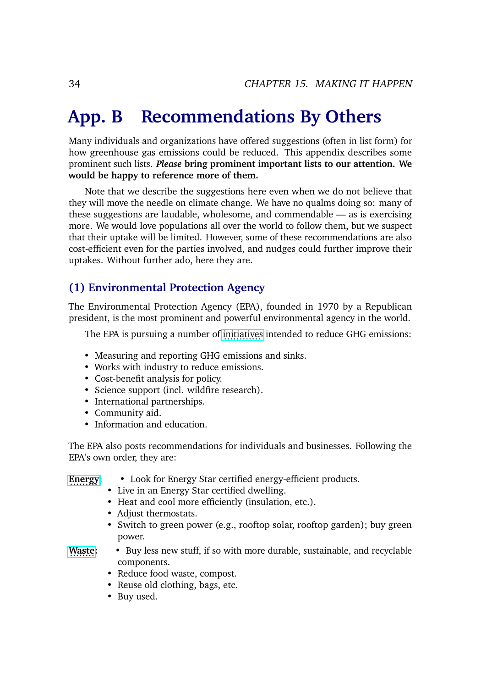## **App. B Recommendations By Others**

Many individuals and organizations have offered suggestions (often in list form) for how greenhouse gas emissions could be reduced. This appendix describes some prominent such lists. *Please* **bring prominent important lists to our attention. We would be happy to reference more of them.**

Note that we describe the suggestions here even when we do not believe that they will move the needle on climate change. We have no qualms doing so: many of these suggestions are laudable, wholesome, and commendable — as is exercising more. We would love populations all over the world to follow them, but we suspect that their uptake will be limited. However, some of these recommendations are also cost-efficient even for the parties involved, and nudges could further improve their uptakes. Without further ado, here they are.

#### **(1) Environmental Protection Agency**

The Environmental Protection Agency (EPA), founded in 1970 by a Republican president, is the most prominent and powerful environmental agency in the world.

The EPA is pursuing a number of [initiatives](https://www.epa.gov/climate-change/what-epa-doing) intended to reduce GHG emissions:

- Measuring and reporting GHG emissions and sinks.
- Works with industry to reduce emissions.
- Cost-benefit analysis for policy.
- Science support (incl. wildfire research).
- International partnerships.
- Community aid.
- Information and education.

The EPA also posts recommendations for individuals and businesses. Following the EPA's own order, they are:

#### **[Energy:](https://www.epa.gov/climate-change/what-you-can-do-about-climate-change-energy)** ......... • Look for Energy Star certified energy-efficient products.

- Live in an Energy Star certified dwelling.
- Heat and cool more efficiently (insulation, etc.).
- Adjust thermostats.
- Switch to green power (e.g., rooftop solar, rooftop garden); buy green power.
- **[Waste:](https://www.epa.gov/climate-change/what-you-can-do-about-climate-change-waste)** ........ Buy less new stuff, if so with more durable, sustainable, and recyclable components.
	- Reduce food waste, compost.
	- Reuse old clothing, bags, etc.
	- Buy used.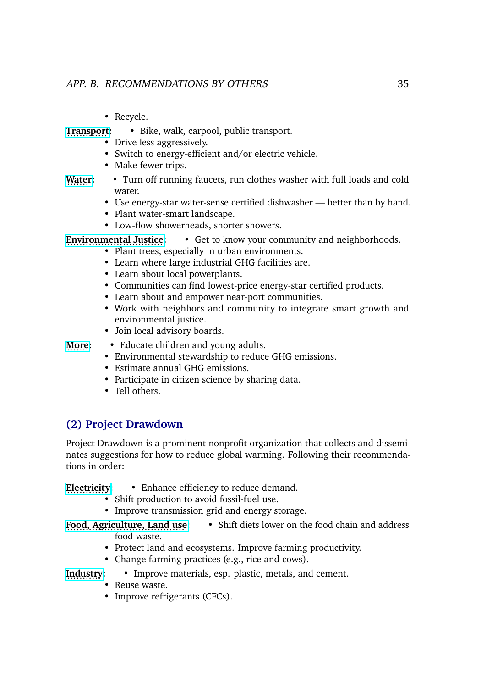- Recycle.
- **[Transport:](https://www.epa.gov/climate-change/what-you-can-do-about-climate-change-transportation)** ............. Bike, walk, carpool, public transport.
	- Drive less aggressively.
	- Switch to energy-efficient and/or electric vehicle.
	- Make fewer trips.
- [Water:](https://www.epa.gov/climate-change/what-you-can-do-about-climate-change-water) ..... Turn off running faucets, run clothes washer with full loads and cold water.
	- Use energy-star water-sense certified dishwasher better than by hand.
	- Plant water-smart landscape.
	- Low-flow showerheads, shorter showers.
- **[Environmental Justice:](https://www.epa.gov/climate-change/what-you-can-do-about-climate-change-environmental-justice-ej)** ............................... Get to know your community and neighborhoods.
	- Plant trees, especially in urban environments.
		- Learn where large industrial GHG facilities are.
		- Learn about local powerplants.
		- Communities can find lowest-price energy-star certified products.
		- Learn about and empower near-port communities.
		- Work with neighbors and community to integrate smart growth and environmental justice.
		- Join local advisory boards.

**[More:](https://www.epa.gov/climate-change/what-you-can-do-about-climate-change-do-more)** • Educate children and young adults.

- Environmental stewardship to reduce GHG emissions.
- Estimate annual GHG emissions.
- Participate in citizen science by sharing data.
- Tell others.

## **(2) Project Drawdown**

Project Drawdown is a prominent nonprofit organization that collects and disseminates suggestions for how to reduce global warming. Following their recommendations in order:

#### **[Electricity:](https://drawdown.org/sectors/electricity)** ............. • Enhance efficiency to reduce demand.

- Shift production to avoid fossil-fuel use.
- Improve transmission grid and energy storage.

**[Food, Agriculture, Land use:](https://drawdown.org/sectors/food-agriculture-land-use)** ...................................... • Shift diets lower on the food chain and address food waste.

- Protect land and ecosystems. Improve farming productivity.
- Change farming practices (e.g., rice and cows).
- Industry: • Improve materials, esp. plastic, metals, and cement.
	- Reuse waste.
	- Improve refrigerants (CFCs).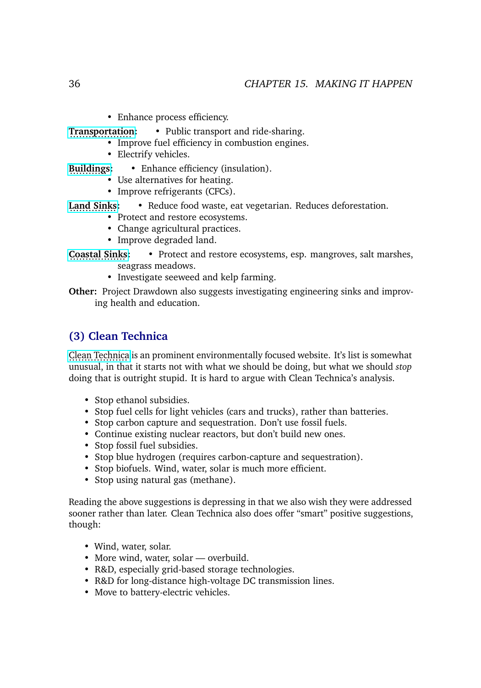• Enhance process efficiency.

**[Transportation:](https://drawdown.org/sectors/transportation)** .................... • Public transport and ride-sharing.

- Improve fuel efficiency in combustion engines.
- Electrify vehicles.
- **[Buildings:](https://drawdown.org/sectors/buildings)** Enhance efficiency (insulation).
	- Use alternatives for heating.
	- Improve refrigerants (CFCs).
- **[Land Sinks:](https://drawdown.org/sectors/land-sinks)** ............... Reduce food waste, eat vegetarian. Reduces deforestation.
	- Protect and restore ecosystems.
	- Change agricultural practices.
	- Improve degraded land.

**[Coastal Sinks:](https://drawdown.org/sectors/coastal-and-ocean-sinks)** .................. • Protect and restore ecosystems, esp. mangroves, salt marshes, seagrass meadows.

- Investigate seeweed and kelp farming.
- **Other:** Project Drawdown also suggests investigating engineering sinks and improving health and education.

## **(3) Clean Technica**

[Clean Technica](https://cleantechnica.com/2021/10/15/when-are-we-going-to-stop-doing-stupid-in-the-name-of-going-green/) is an prominent environmentally focused website. It's list is somewhat unusual, in that it starts not with what we should be doing, but what we should *stop* doing that is outright stupid. It is hard to argue with Clean Technica's analysis.

- Stop ethanol subsidies.
- Stop fuel cells for light vehicles (cars and trucks), rather than batteries.
- Stop carbon capture and sequestration. Don't use fossil fuels.
- Continue existing nuclear reactors, but don't build new ones.
- Stop fossil fuel subsidies.
- Stop blue hydrogen (requires carbon-capture and sequestration).
- Stop biofuels. Wind, water, solar is much more efficient.
- Stop using natural gas (methane).

Reading the above suggestions is depressing in that we also wish they were addressed sooner rather than later. Clean Technica also does offer "smart" positive suggestions, though:

- Wind, water, solar.
- More wind, water, solar overbuild.
- R&D, especially grid-based storage technologies.
- R&D for long-distance high-voltage DC transmission lines.
- Move to battery-electric vehicles.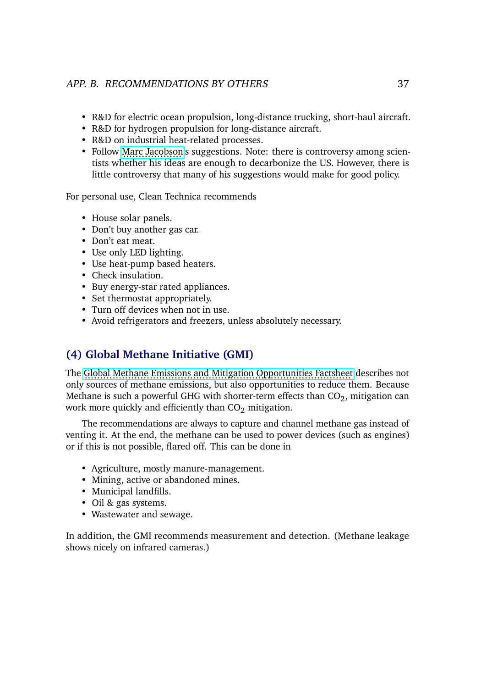- R&D for electric ocean propulsion, long-distance trucking, short-haul aircraft.
- R&D for hydrogen propulsion for long-distance aircraft.
- R&D on industrial heat-related processes.
- Follow [Marc Jacobson'](https://web.stanford.edu/group/efmh/jacobson/WWSBook/WWSBook.html)s suggestions. Note: there is controversy among scientists whether his ideas are enough to decarbonize the US. However, there is little controversy that many of his suggestions would make for good policy.

For personal use, Clean Technica recommends

- House solar panels.
- Don't buy another gas car.
- Don't eat meat.
- Use only LED lighting.
- Use heat-pump based heaters.
- Check insulation.
- Buy energy-star rated appliances.
- Set thermostat appropriately.
- Turn off devices when not in use.
- Avoid refrigerators and freezers, unless absolutely necessary.

## **(4) Global Methane Initiative (GMI)**

The [Global Methane Emissions and Mitigation Opportunities Factsheet](https://www.globalmethane.org/documents/gmi-mitigation-factsheet.pdf) describes not only sources of methane emissions, but also opportunities to reduce them. Because Methane is such a powerful GHG with shorter-term effects than  $CO<sub>2</sub>$ , mitigation can work more quickly and efficiently than  $CO<sub>2</sub>$  mitigation.

The recommendations are always to capture and channel methane gas instead of venting it. At the end, the methane can be used to power devices (such as engines) or if this is not possible, flared off. This can be done in

- Agriculture, mostly manure-management.
- Mining, active or abandoned mines.
- Municipal landfills.
- Oil & gas systems.
- Wastewater and sewage.

In addition, the GMI recommends measurement and detection. (Methane leakage shows nicely on infrared cameras.)